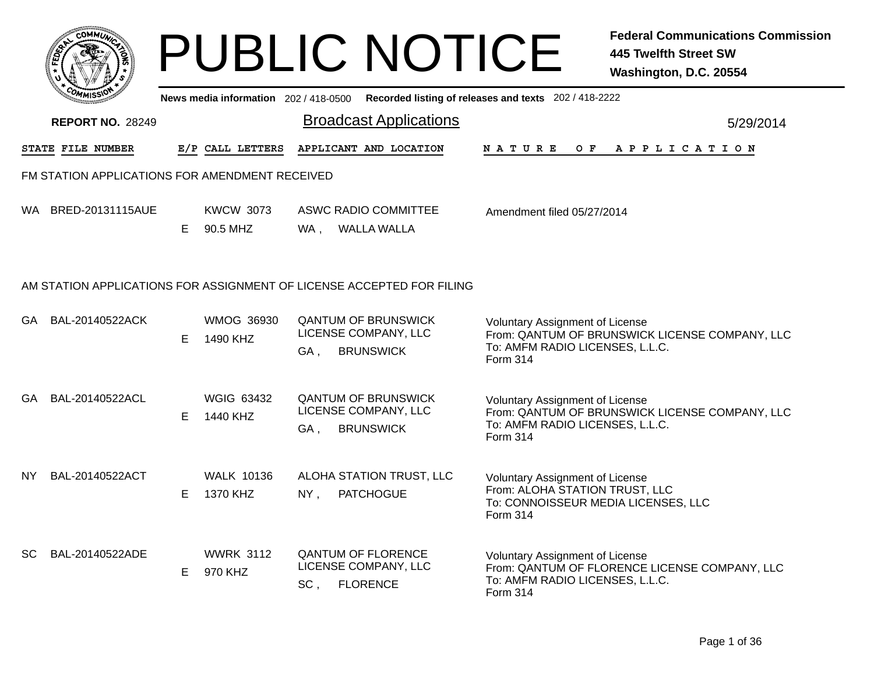|     | <b>COMMUX</b>                                  |    |                                       | <b>PUBLIC NOTICE</b>                                                          |                                                                                                                             | <b>Federal Communications Commission</b><br><b>445 Twelfth Street SW</b><br>Washington, D.C. 20554 |
|-----|------------------------------------------------|----|---------------------------------------|-------------------------------------------------------------------------------|-----------------------------------------------------------------------------------------------------------------------------|----------------------------------------------------------------------------------------------------|
|     |                                                |    | News media information 202 / 418-0500 |                                                                               | Recorded listing of releases and texts 202 / 418-2222                                                                       |                                                                                                    |
|     | <b>REPORT NO. 28249</b>                        |    |                                       | <b>Broadcast Applications</b>                                                 |                                                                                                                             | 5/29/2014                                                                                          |
|     | STATE FILE NUMBER                              |    | E/P CALL LETTERS                      | APPLICANT AND LOCATION                                                        | N A T U R E<br>O F                                                                                                          | A P P L I C A T I O N                                                                              |
|     | FM STATION APPLICATIONS FOR AMENDMENT RECEIVED |    |                                       |                                                                               |                                                                                                                             |                                                                                                    |
| WA. | BRED-20131115AUE                               | E. | <b>KWCW 3073</b><br>90.5 MHZ          | <b>ASWC RADIO COMMITTEE</b><br><b>WALLA WALLA</b><br>WA,                      | Amendment filed 05/27/2014                                                                                                  |                                                                                                    |
|     |                                                |    |                                       | AM STATION APPLICATIONS FOR ASSIGNMENT OF LICENSE ACCEPTED FOR FILING         |                                                                                                                             |                                                                                                    |
| GA  | BAL-20140522ACK                                | E. | <b>WMOG 36930</b><br>1490 KHZ         | <b>QANTUM OF BRUNSWICK</b><br>LICENSE COMPANY, LLC<br><b>BRUNSWICK</b><br>GA, | Voluntary Assignment of License<br>To: AMFM RADIO LICENSES, L.L.C.<br>Form 314                                              | From: QANTUM OF BRUNSWICK LICENSE COMPANY, LLC                                                     |
| GA  | BAL-20140522ACL                                | E. | <b>WGIG 63432</b><br>1440 KHZ         | <b>QANTUM OF BRUNSWICK</b><br>LICENSE COMPANY, LLC<br><b>BRUNSWICK</b><br>GA, | <b>Voluntary Assignment of License</b><br>To: AMFM RADIO LICENSES, L.L.C.<br><b>Form 314</b>                                | From: QANTUM OF BRUNSWICK LICENSE COMPANY, LLC                                                     |
| NY. | BAL-20140522ACT                                | E. | <b>WALK 10136</b><br>1370 KHZ         | ALOHA STATION TRUST, LLC<br><b>PATCHOGUE</b><br>$NY$ ,                        | <b>Voluntary Assignment of License</b><br>From: ALOHA STATION TRUST, LLC<br>To: CONNOISSEUR MEDIA LICENSES, LLC<br>Form 314 |                                                                                                    |
| SC. | BAL-20140522ADE                                | E. | <b>WWRK 3112</b><br>970 KHZ           | <b>QANTUM OF FLORENCE</b><br>LICENSE COMPANY, LLC<br><b>FLORENCE</b><br>SC,   | <b>Voluntary Assignment of License</b><br>To: AMFM RADIO LICENSES, L.L.C.<br>Form 314                                       | From: QANTUM OF FLORENCE LICENSE COMPANY, LLC                                                      |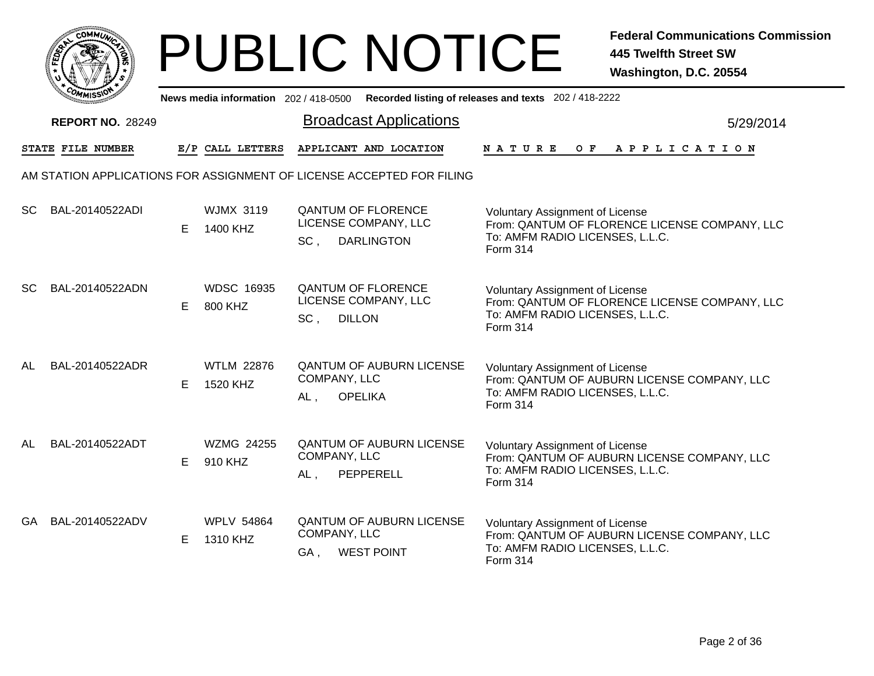|       | MMUNICT<br>c۵۱ |  |
|-------|----------------|--|
| FEDET |                |  |
|       |                |  |
|       | COMI<br>MISS   |  |

| יככוואויי<br>News media information 202/418-0500 Recorded listing of releases and texts 202/418-2222 |                          |    |                               |                     |                                                                        |                                                                                                                                        |  |  |  |
|------------------------------------------------------------------------------------------------------|--------------------------|----|-------------------------------|---------------------|------------------------------------------------------------------------|----------------------------------------------------------------------------------------------------------------------------------------|--|--|--|
|                                                                                                      | <b>REPORT NO. 28249</b>  |    |                               |                     | <b>Broadcast Applications</b>                                          | 5/29/2014                                                                                                                              |  |  |  |
|                                                                                                      | <b>STATE FILE NUMBER</b> |    | E/P CALL LETTERS              |                     | APPLICANT AND LOCATION                                                 | <b>NATURE</b><br>O F<br>APPLICATION                                                                                                    |  |  |  |
|                                                                                                      |                          |    |                               |                     | AM STATION APPLICATIONS FOR ASSIGNMENT OF LICENSE ACCEPTED FOR FILING  |                                                                                                                                        |  |  |  |
| <b>SC</b>                                                                                            | BAL-20140522ADI          | E  | <b>WJMX 3119</b><br>1400 KHZ  | SC,                 | <b>QANTUM OF FLORENCE</b><br>LICENSE COMPANY, LLC<br><b>DARLINGTON</b> | Voluntary Assignment of License<br>From: QANTUM OF FLORENCE LICENSE COMPANY, LLC<br>To: AMFM RADIO LICENSES, L.L.C.<br>Form 314        |  |  |  |
| <b>SC</b>                                                                                            | BAL-20140522ADN          | E. | <b>WDSC 16935</b><br>800 KHZ  | SC,                 | <b>QANTUM OF FLORENCE</b><br>LICENSE COMPANY, LLC<br><b>DILLON</b>     | <b>Voluntary Assignment of License</b><br>From: QANTUM OF FLORENCE LICENSE COMPANY, LLC<br>To: AMFM RADIO LICENSES, L.L.C.<br>Form 314 |  |  |  |
| AL                                                                                                   | BAL-20140522ADR          | E  | <b>WTLM 22876</b><br>1520 KHZ | COMPANY, LLC<br>AL, | <b>QANTUM OF AUBURN LICENSE</b><br><b>OPELIKA</b>                      | <b>Voluntary Assignment of License</b><br>From: QANTUM OF AUBURN LICENSE COMPANY, LLC<br>To: AMFM RADIO LICENSES, L.L.C.<br>Form 314   |  |  |  |
| AL                                                                                                   | BAL-20140522ADT          | E. | WZMG 24255<br>910 KHZ         | COMPANY, LLC<br>AL, | <b>QANTUM OF AUBURN LICENSE</b><br>PEPPERELL                           | <b>Voluntary Assignment of License</b><br>From: QANTUM OF AUBURN LICENSE COMPANY, LLC<br>To: AMFM RADIO LICENSES, L.L.C.<br>Form 314   |  |  |  |
| GA                                                                                                   | BAL-20140522ADV          | E  | <b>WPLV 54864</b><br>1310 KHZ | COMPANY, LLC<br>GA, | <b>QANTUM OF AUBURN LICENSE</b><br><b>WEST POINT</b>                   | <b>Voluntary Assignment of License</b><br>From: QANTUM OF AUBURN LICENSE COMPANY, LLC<br>To: AMFM RADIO LICENSES, L.L.C.<br>Form 314   |  |  |  |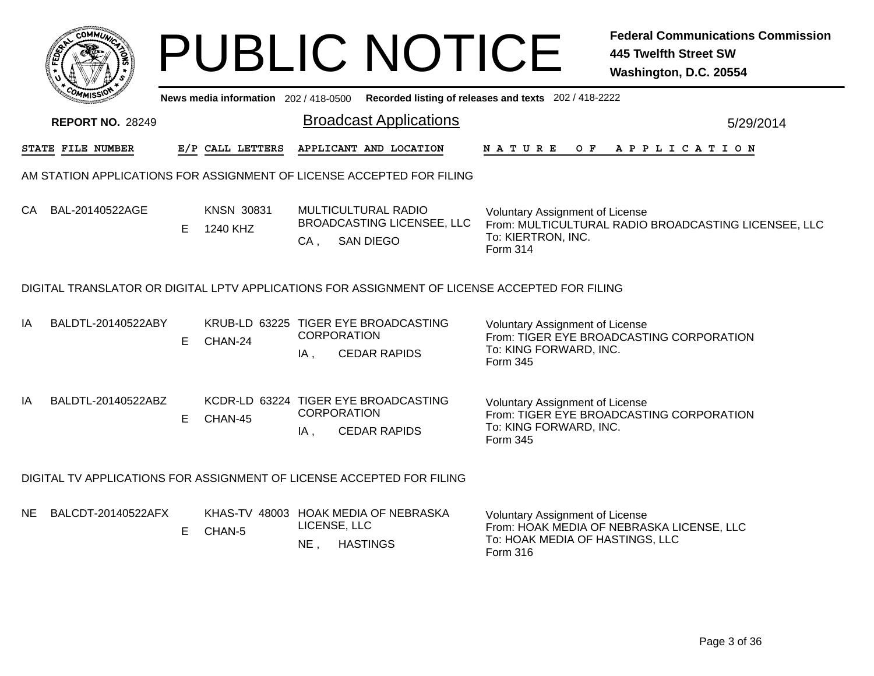|     |                         |    |                                       | <b>PUBLIC NOTICE</b>                                                                          | <b>Federal Communications Commission</b><br><b>445 Twelfth Street SW</b><br>Washington, D.C. 20554                                 |
|-----|-------------------------|----|---------------------------------------|-----------------------------------------------------------------------------------------------|------------------------------------------------------------------------------------------------------------------------------------|
|     |                         |    | News media information 202 / 418-0500 |                                                                                               | Recorded listing of releases and texts 202 / 418-2222                                                                              |
|     | <b>REPORT NO. 28249</b> |    |                                       | <b>Broadcast Applications</b>                                                                 | 5/29/2014                                                                                                                          |
|     | STATE FILE NUMBER       |    | E/P CALL LETTERS                      | APPLICANT AND LOCATION                                                                        | APPLICATION<br>N A T U R E<br>O F                                                                                                  |
|     |                         |    |                                       | AM STATION APPLICATIONS FOR ASSIGNMENT OF LICENSE ACCEPTED FOR FILING                         |                                                                                                                                    |
| CA  | BAL-20140522AGE         | F. | <b>KNSN 30831</b><br>1240 KHZ         | MULTICULTURAL RADIO<br>BROADCASTING LICENSEE, LLC<br><b>SAN DIEGO</b><br>CA,                  | <b>Voluntary Assignment of License</b><br>From: MULTICULTURAL RADIO BROADCASTING LICENSEE, LLC<br>To: KIERTRON, INC.<br>Form 314   |
|     |                         |    |                                       | DIGITAL TRANSLATOR OR DIGITAL LPTV APPLICATIONS FOR ASSIGNMENT OF LICENSE ACCEPTED FOR FILING |                                                                                                                                    |
| IA  | BALDTL-20140522ABY      | E  | CHAN-24                               | KRUB-LD 63225 TIGER EYE BROADCASTING<br><b>CORPORATION</b><br><b>CEDAR RAPIDS</b><br>IA,      | <b>Voluntary Assignment of License</b><br>From: TIGER EYE BROADCASTING CORPORATION<br>To: KING FORWARD, INC.<br>Form 345           |
| IA  | BALDTL-20140522ABZ      | E. | CHAN-45                               | KCDR-LD 63224 TIGER EYE BROADCASTING<br>CORPORATION<br><b>CEDAR RAPIDS</b><br>$IA$ ,          | <b>Voluntary Assignment of License</b><br>From: TIGER EYE BROADCASTING CORPORATION<br>To: KING FORWARD, INC.<br>Form 345           |
|     |                         |    |                                       | DIGITAL TV APPLICATIONS FOR ASSIGNMENT OF LICENSE ACCEPTED FOR FILING                         |                                                                                                                                    |
| NE. | BALCDT-20140522AFX      | E. | CHAN-5                                | KHAS-TV 48003 HOAK MEDIA OF NEBRASKA<br>LICENSE, LLC<br>NE, HASTINGS                          | <b>Voluntary Assignment of License</b><br>From: HOAK MEDIA OF NEBRASKA LICENSE, LLC<br>To: HOAK MEDIA OF HASTINGS, LLC<br>Form 316 |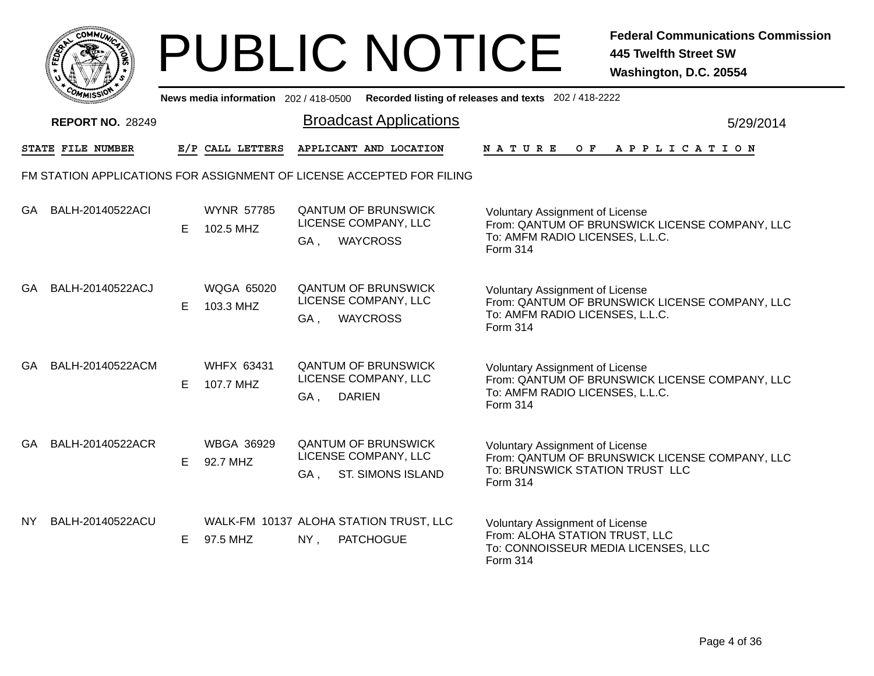|       | MMUNICT<br>CO <sub>1</sub> |  |
|-------|----------------------------|--|
| FEDET |                            |  |
|       |                            |  |
|       | COA<br>MISS                |  |

|     | <b>MMISSY</b>           |    |                                |        | News media information 202 / 418-0500 Recorded listing of releases and texts 202 / 418-2222 |                                                                                                                                         |           |
|-----|-------------------------|----|--------------------------------|--------|---------------------------------------------------------------------------------------------|-----------------------------------------------------------------------------------------------------------------------------------------|-----------|
|     | <b>REPORT NO. 28249</b> |    |                                |        | <b>Broadcast Applications</b>                                                               |                                                                                                                                         | 5/29/2014 |
|     | STATE FILE NUMBER       |    | E/P CALL LETTERS               |        | APPLICANT AND LOCATION                                                                      | <b>NATURE</b><br>O F<br>A P P L I C A T I O N                                                                                           |           |
|     |                         |    |                                |        | FM STATION APPLICATIONS FOR ASSIGNMENT OF LICENSE ACCEPTED FOR FILING                       |                                                                                                                                         |           |
| GA. | BALH-20140522ACI        | E  | <b>WYNR 57785</b><br>102.5 MHZ | GA,    | <b>QANTUM OF BRUNSWICK</b><br>LICENSE COMPANY, LLC<br><b>WAYCROSS</b>                       | <b>Voluntary Assignment of License</b><br>From: QANTUM OF BRUNSWICK LICENSE COMPANY, LLC<br>To: AMFM RADIO LICENSES, L.L.C.<br>Form 314 |           |
| GA. | BALH-20140522ACJ        | Е  | <b>WQGA 65020</b><br>103.3 MHZ | GA,    | <b>QANTUM OF BRUNSWICK</b><br>LICENSE COMPANY, LLC<br><b>WAYCROSS</b>                       | <b>Voluntary Assignment of License</b><br>From: QANTUM OF BRUNSWICK LICENSE COMPANY, LLC<br>To: AMFM RADIO LICENSES, L.L.C.<br>Form 314 |           |
| GA. | BALH-20140522ACM        | E. | <b>WHFX 63431</b><br>107.7 MHZ | GA,    | <b>QANTUM OF BRUNSWICK</b><br>LICENSE COMPANY, LLC<br><b>DARIEN</b>                         | <b>Voluntary Assignment of License</b><br>From: QANTUM OF BRUNSWICK LICENSE COMPANY, LLC<br>To: AMFM RADIO LICENSES, L.L.C.<br>Form 314 |           |
| GA  | BALH-20140522ACR        | E. | <b>WBGA 36929</b><br>92.7 MHZ  | GA,    | <b>QANTUM OF BRUNSWICK</b><br>LICENSE COMPANY, LLC<br><b>ST. SIMONS ISLAND</b>              | <b>Voluntary Assignment of License</b><br>From: QANTUM OF BRUNSWICK LICENSE COMPANY, LLC<br>To: BRUNSWICK STATION TRUST LLC<br>Form 314 |           |
| NY. | BALH-20140522ACU        | E  | 97.5 MHZ                       | $NY$ , | WALK-FM 10137 ALOHA STATION TRUST, LLC<br><b>PATCHOGUE</b>                                  | Voluntary Assignment of License<br>From: ALOHA STATION TRUST, LLC<br>To: CONNOISSEUR MEDIA LICENSES, LLC<br>Form 314                    |           |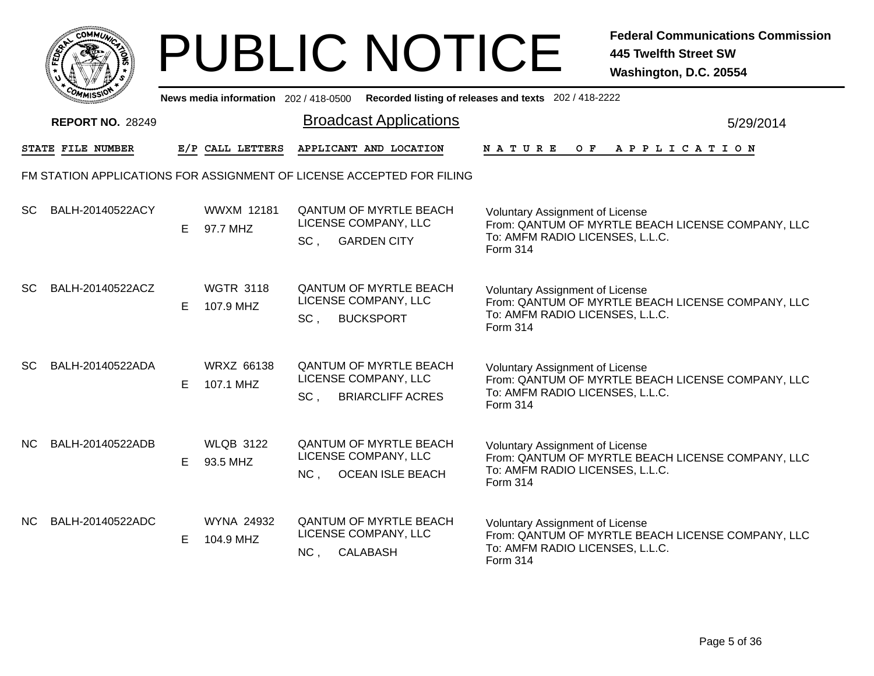|      |     | <b>COMMUNT</b> |   |  |
|------|-----|----------------|---|--|
| EDE) |     |                | ્ |  |
|      |     |                |   |  |
|      | COM | MISS           |   |  |

|     | <b><i>MMISSIV</i></b>    |    |                                |                 | News media information 202/418-0500 Recorded listing of releases and texts 202/418-2222 |                                                                                                                                            |           |
|-----|--------------------------|----|--------------------------------|-----------------|-----------------------------------------------------------------------------------------|--------------------------------------------------------------------------------------------------------------------------------------------|-----------|
|     | <b>REPORT NO. 28249</b>  |    |                                |                 | <b>Broadcast Applications</b>                                                           |                                                                                                                                            | 5/29/2014 |
|     | <b>STATE FILE NUMBER</b> |    | E/P CALL LETTERS               |                 | APPLICANT AND LOCATION                                                                  | OF APPLICATION<br>NATURE                                                                                                                   |           |
|     |                          |    |                                |                 | FM STATION APPLICATIONS FOR ASSIGNMENT OF LICENSE ACCEPTED FOR FILING                   |                                                                                                                                            |           |
| SC  | BALH-20140522ACY         | E. | <b>WWXM 12181</b><br>97.7 MHZ  | $SC$ ,          | <b>QANTUM OF MYRTLE BEACH</b><br>LICENSE COMPANY, LLC<br><b>GARDEN CITY</b>             | <b>Voluntary Assignment of License</b><br>From: QANTUM OF MYRTLE BEACH LICENSE COMPANY, LLC<br>To: AMFM RADIO LICENSES, L.L.C.<br>Form 314 |           |
| SC  | BALH-20140522ACZ         | E. | <b>WGTR 3118</b><br>107.9 MHZ  | SC <sub>1</sub> | <b>QANTUM OF MYRTLE BEACH</b><br>LICENSE COMPANY, LLC<br><b>BUCKSPORT</b>               | <b>Voluntary Assignment of License</b><br>From: QANTUM OF MYRTLE BEACH LICENSE COMPANY, LLC<br>To: AMFM RADIO LICENSES, L.L.C.<br>Form 314 |           |
| SC. | BALH-20140522ADA         | E. | <b>WRXZ 66138</b><br>107.1 MHZ | SC.             | <b>QANTUM OF MYRTLE BEACH</b><br>LICENSE COMPANY, LLC<br><b>BRIARCLIFF ACRES</b>        | Voluntary Assignment of License<br>From: QANTUM OF MYRTLE BEACH LICENSE COMPANY, LLC<br>To: AMFM RADIO LICENSES, L.L.C.<br>Form 314        |           |
| NC. | BALH-20140522ADB         | E. | <b>WLQB 3122</b><br>93.5 MHZ   | NC <sub>1</sub> | <b>QANTUM OF MYRTLE BEACH</b><br>LICENSE COMPANY, LLC<br><b>OCEAN ISLE BEACH</b>        | Voluntary Assignment of License<br>From: QANTUM OF MYRTLE BEACH LICENSE COMPANY, LLC<br>To: AMFM RADIO LICENSES, L.L.C.<br>Form 314        |           |
|     | NC BALH-20140522ADC      | E. | WYNA 24932<br>104.9 MHZ        | NC,             | <b>QANTUM OF MYRTLE BEACH</b><br>LICENSE COMPANY, LLC<br>CALABASH                       | Voluntary Assignment of License<br>From: QANTUM OF MYRTLE BEACH LICENSE COMPANY, LLC<br>To: AMFM RADIO LICENSES, L.L.C.<br>Form 314        |           |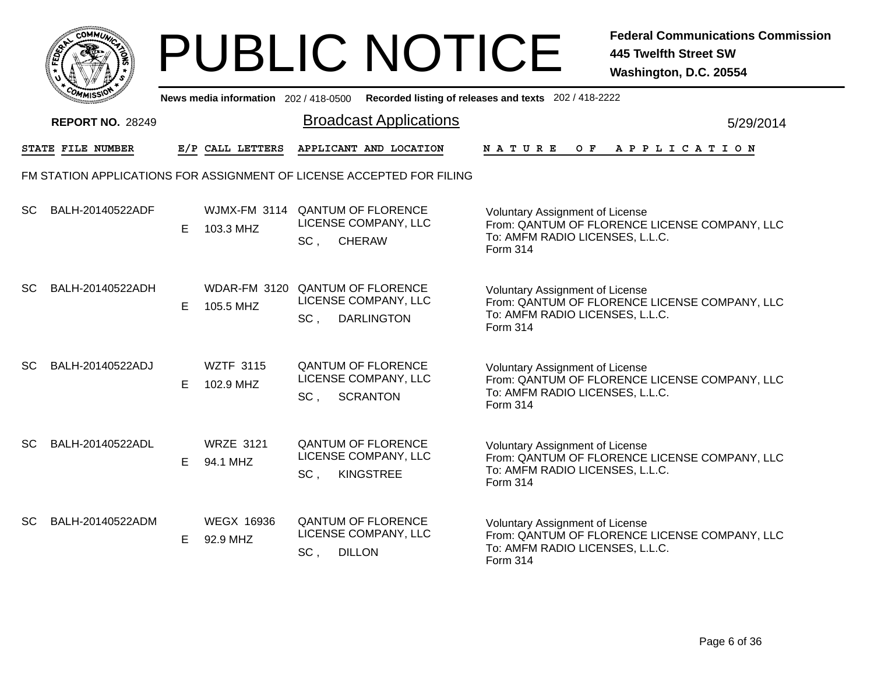|       | MMUNICT<br>CO <sub>1</sub> |  |
|-------|----------------------------|--|
| FEDET |                            |  |
|       |                            |  |
|       | COA<br>MISS                |  |

|           | -พิพเรจง                |   |                               |                 |                                                                              | News media information 202 / 418-0500 Recorded listing of releases and texts 202 / 418-2222                                            |
|-----------|-------------------------|---|-------------------------------|-----------------|------------------------------------------------------------------------------|----------------------------------------------------------------------------------------------------------------------------------------|
|           | <b>REPORT NO. 28249</b> |   |                               |                 | <b>Broadcast Applications</b>                                                | 5/29/2014                                                                                                                              |
|           | STATE FILE NUMBER       |   | E/P CALL LETTERS              |                 | APPLICANT AND LOCATION                                                       | NATURE<br>OF APPLICATION                                                                                                               |
|           |                         |   |                               |                 | FM STATION APPLICATIONS FOR ASSIGNMENT OF LICENSE ACCEPTED FOR FILING        |                                                                                                                                        |
| <b>SC</b> | BALH-20140522ADF        | E | 103.3 MHZ                     | SC,             | WJMX-FM 3114 QANTUM OF FLORENCE<br>LICENSE COMPANY, LLC<br><b>CHERAW</b>     | <b>Voluntary Assignment of License</b><br>From: QANTUM OF FLORENCE LICENSE COMPANY, LLC<br>To: AMFM RADIO LICENSES, L.L.C.<br>Form 314 |
| <b>SC</b> | BALH-20140522ADH        | E | 105.5 MHZ                     | SC,             | WDAR-FM 3120 QANTUM OF FLORENCE<br>LICENSE COMPANY, LLC<br><b>DARLINGTON</b> | <b>Voluntary Assignment of License</b><br>From: QANTUM OF FLORENCE LICENSE COMPANY, LLC<br>To: AMFM RADIO LICENSES, L.L.C.<br>Form 314 |
| SC.       | BALH-20140522ADJ        | E | <b>WZTF 3115</b><br>102.9 MHZ | SC <sub>1</sub> | <b>QANTUM OF FLORENCE</b><br>LICENSE COMPANY, LLC<br><b>SCRANTON</b>         | Voluntary Assignment of License<br>From: QANTUM OF FLORENCE LICENSE COMPANY, LLC<br>To: AMFM RADIO LICENSES, L.L.C.<br><b>Form 314</b> |
| <b>SC</b> | BALH-20140522ADL        | E | <b>WRZE 3121</b><br>94.1 MHZ  | SC,             | <b>QANTUM OF FLORENCE</b><br>LICENSE COMPANY, LLC<br><b>KINGSTREE</b>        | <b>Voluntary Assignment of License</b><br>From: QANTUM OF FLORENCE LICENSE COMPANY, LLC<br>To: AMFM RADIO LICENSES, L.L.C.<br>Form 314 |
| <b>SC</b> | BALH-20140522ADM        | E | <b>WEGX 16936</b><br>92.9 MHZ | SC,             | <b>QANTUM OF FLORENCE</b><br>LICENSE COMPANY, LLC<br><b>DILLON</b>           | Voluntary Assignment of License<br>From: QANTUM OF FLORENCE LICENSE COMPANY, LLC<br>To: AMFM RADIO LICENSES, L.L.C.<br><b>Form 314</b> |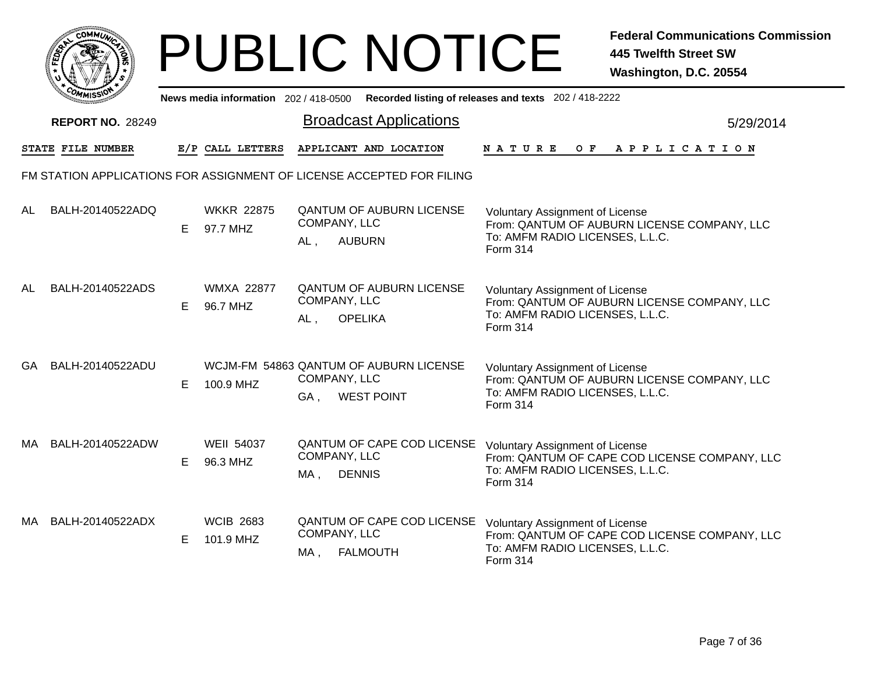|           | <b>MMUNICT</b><br>CO <sub>1</sub> |  |
|-----------|-----------------------------------|--|
| ট্রু<br>c |                                   |  |
|           |                                   |  |
|           | COM<br>MISS'<br>----              |  |

|           | ັຟຟISລາ                 |    |                               |                     |                                                                       | News media information 202 / 418-0500 Recorded listing of releases and texts 202 / 418-2222                                                                |  |  |
|-----------|-------------------------|----|-------------------------------|---------------------|-----------------------------------------------------------------------|------------------------------------------------------------------------------------------------------------------------------------------------------------|--|--|
|           | <b>REPORT NO. 28249</b> |    |                               |                     | <b>Broadcast Applications</b>                                         | 5/29/2014                                                                                                                                                  |  |  |
|           | STATE FILE NUMBER       |    | E/P CALL LETTERS              |                     | APPLICANT AND LOCATION                                                | <b>NATURE</b><br>O F<br>APPLICATION                                                                                                                        |  |  |
|           |                         |    |                               |                     | FM STATION APPLICATIONS FOR ASSIGNMENT OF LICENSE ACCEPTED FOR FILING |                                                                                                                                                            |  |  |
| AL        | BALH-20140522ADQ        | E. | <b>WKKR 22875</b><br>97.7 MHZ | COMPANY, LLC<br>AL, | <b>QANTUM OF AUBURN LICENSE</b><br><b>AUBURN</b>                      | <b>Voluntary Assignment of License</b><br>From: QANTUM OF AUBURN LICENSE COMPANY, LLC<br>To: AMFM RADIO LICENSES, L.L.C.<br>Form 314                       |  |  |
| <b>AL</b> | BALH-20140522ADS        | E  | <b>WMXA 22877</b><br>96.7 MHZ | COMPANY, LLC<br>AL, | <b>QANTUM OF AUBURN LICENSE</b><br><b>OPELIKA</b>                     | <b>Voluntary Assignment of License</b><br>From: QANTUM OF AUBURN LICENSE COMPANY, LLC<br>To: AMFM RADIO LICENSES, L.L.C.<br>Form 314                       |  |  |
| <b>GA</b> | BALH-20140522ADU        | Е  | 100.9 MHZ                     | COMPANY, LLC<br>GA, | WCJM-FM 54863 QANTUM OF AUBURN LICENSE<br><b>WEST POINT</b>           | Voluntary Assignment of License<br>From: QANTUM OF AUBURN LICENSE COMPANY, LLC<br>To: AMFM RADIO LICENSES, L.L.C.<br>Form 314                              |  |  |
| MA        | BALH-20140522ADW        | Е  | <b>WEII 54037</b><br>96.3 MHZ | COMPANY, LLC<br>MA, | <b>DENNIS</b>                                                         | QANTUM OF CAPE COD LICENSE Voluntary Assignment of License<br>From: QANTUM OF CAPE COD LICENSE COMPANY, LLC<br>To: AMFM RADIO LICENSES, L.L.C.<br>Form 314 |  |  |
| MA        | BALH-20140522ADX        | E  | <b>WCIB 2683</b><br>101.9 MHZ | COMPANY, LLC<br>MA, | <b>QANTUM OF CAPE COD LICENSE</b><br><b>FALMOUTH</b>                  | Voluntary Assignment of License<br>From: QANTUM OF CAPE COD LICENSE COMPANY, LLC<br>To: AMFM RADIO LICENSES, L.L.C.<br>Form 314                            |  |  |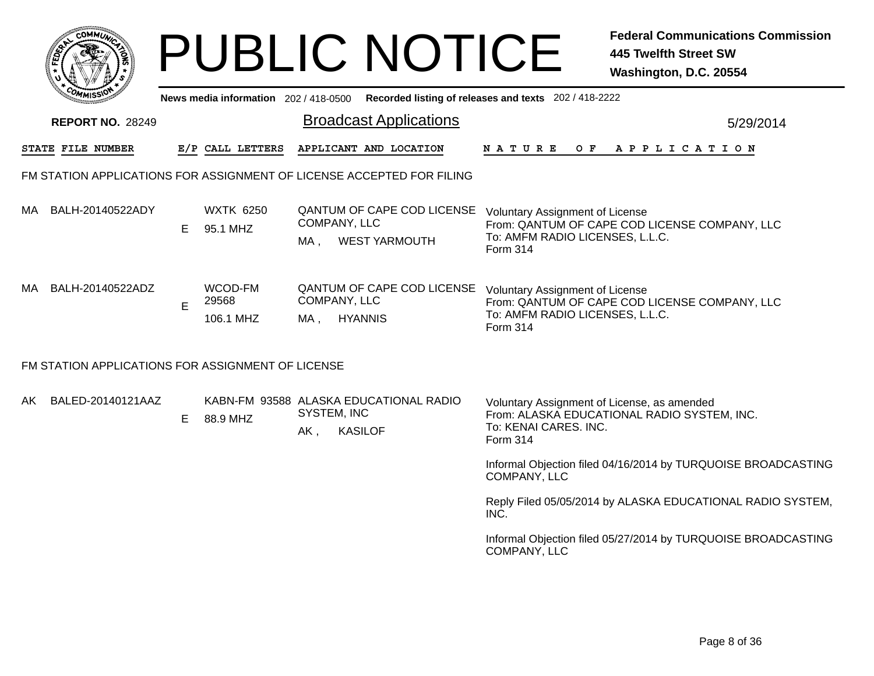|     |                                                                       |   |                                       |                             | <b>PUBLIC NOTICE</b>                                     |                                                                                              | <b>Federal Communications Commission</b><br><b>445 Twelfth Street SW</b><br>Washington, D.C. 20554 |
|-----|-----------------------------------------------------------------------|---|---------------------------------------|-----------------------------|----------------------------------------------------------|----------------------------------------------------------------------------------------------|----------------------------------------------------------------------------------------------------|
|     |                                                                       |   | News media information 202 / 418-0500 |                             |                                                          | Recorded listing of releases and texts 202 / 418-2222                                        |                                                                                                    |
|     | <b>REPORT NO. 28249</b>                                               |   |                                       |                             | <b>Broadcast Applications</b>                            |                                                                                              | 5/29/2014                                                                                          |
|     | STATE FILE NUMBER                                                     |   | E/P CALL LETTERS                      |                             | APPLICANT AND LOCATION                                   | N A T U R E<br>O F                                                                           | A P P L I C A T I O N                                                                              |
|     | FM STATION APPLICATIONS FOR ASSIGNMENT OF LICENSE ACCEPTED FOR FILING |   |                                       |                             |                                                          |                                                                                              |                                                                                                    |
| MA. | BALH-20140522ADY                                                      | E | <b>WXTK 6250</b><br>95.1 MHZ          | COMPANY, LLC<br>MA          | QANTUM OF CAPE COD LICENSE<br><b>WEST YARMOUTH</b>       | <b>Voluntary Assignment of License</b><br>To: AMFM RADIO LICENSES, L.L.C.<br><b>Form 314</b> | From: QANTUM OF CAPE COD LICENSE COMPANY, LLC                                                      |
| MA. | BALH-20140522ADZ                                                      | E | WCOD-FM<br>29568<br>106.1 MHZ         | COMPANY, LLC<br>MA, HYANNIS | QANTUM OF CAPE COD LICENSE                               | <b>Voluntary Assignment of License</b><br>To: AMFM RADIO LICENSES, L.L.C.<br>Form 314        | From: QANTUM OF CAPE COD LICENSE COMPANY, LLC                                                      |
|     | FM STATION APPLICATIONS FOR ASSIGNMENT OF LICENSE                     |   |                                       |                             |                                                          |                                                                                              |                                                                                                    |
| AK. | BALED-20140121AAZ                                                     |   | E 88.9 MHZ                            | <b>SYSTEM, INC</b><br>AK,   | KABN-FM 93588 ALASKA EDUCATIONAL RADIO<br><b>KASILOF</b> | Voluntary Assignment of License, as amended<br>To: KENAI CARES. INC.<br>Form 314             | From: ALASKA EDUCATIONAL RADIO SYSTEM, INC.                                                        |
|     |                                                                       |   |                                       |                             |                                                          | COMPANY, LLC                                                                                 | Informal Objection filed 04/16/2014 by TURQUOISE BROADCASTING                                      |
|     |                                                                       |   |                                       |                             |                                                          | INC.                                                                                         | Reply Filed 05/05/2014 by ALASKA EDUCATIONAL RADIO SYSTEM,                                         |
|     |                                                                       |   |                                       |                             |                                                          | COMPANY, LLC                                                                                 | Informal Objection filed 05/27/2014 by TURQUOISE BROADCASTING                                      |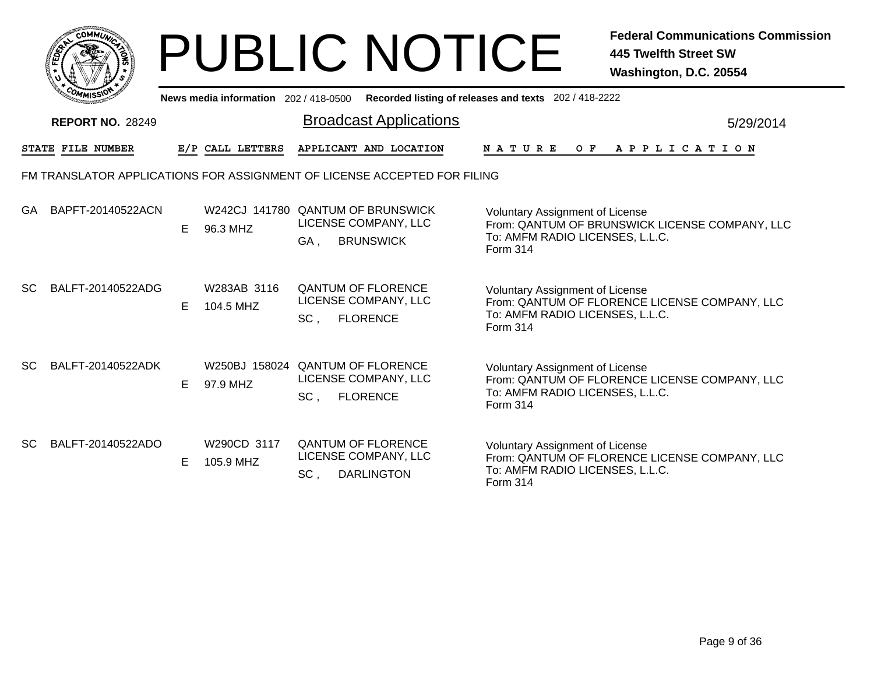|           |                         |    |                                       |                                                                                      | <b>PUBLIC NOTICE</b>                                  | <b>Federal Communications Commission</b><br>445 Twelfth Street SW<br>Washington, D.C. 20554                                 |
|-----------|-------------------------|----|---------------------------------------|--------------------------------------------------------------------------------------|-------------------------------------------------------|-----------------------------------------------------------------------------------------------------------------------------|
|           |                         |    | News media information 202 / 418-0500 |                                                                                      | Recorded listing of releases and texts 202 / 418-2222 |                                                                                                                             |
|           | <b>REPORT NO. 28249</b> |    |                                       | <b>Broadcast Applications</b>                                                        |                                                       | 5/29/2014                                                                                                                   |
|           | STATE FILE NUMBER       |    | E/P CALL LETTERS                      | APPLICANT AND LOCATION                                                               | N A T U R E                                           | OF APPLICATION                                                                                                              |
|           |                         |    |                                       | FM TRANSLATOR APPLICATIONS FOR ASSIGNMENT OF LICENSE ACCEPTED FOR FILING             |                                                       |                                                                                                                             |
| GA.       | BAPFT-20140522ACN       | E. | 96.3 MHZ                              | W242CJ 141780 QANTUM OF BRUNSWICK<br>LICENSE COMPANY, LLC<br><b>BRUNSWICK</b><br>GA, | Form 314                                              | <b>Voluntary Assignment of License</b><br>From: QANTUM OF BRUNSWICK LICENSE COMPANY, LLC<br>To: AMFM RADIO LICENSES, L.L.C. |
| <b>SC</b> | BALFT-20140522ADG       | E  | W283AB 3116<br>104.5 MHZ              | <b>QANTUM OF FLORENCE</b><br>LICENSE COMPANY, LLC<br><b>FLORENCE</b><br>SC,          | Form 314                                              | <b>Voluntary Assignment of License</b><br>From: QANTUM OF FLORENCE LICENSE COMPANY, LLC<br>To: AMFM RADIO LICENSES, L.L.C.  |
| SC.       | BALFT-20140522ADK       | E  | 97.9 MHZ                              | W250BJ 158024 QANTUM OF FLORENCE<br>LICENSE COMPANY, LLC<br><b>FLORENCE</b><br>SC,   | Form 314                                              | Voluntary Assignment of License<br>From: QANTUM OF FLORENCE LICENSE COMPANY, LLC<br>To: AMFM RADIO LICENSES, L.L.C.         |
| <b>SC</b> | BALFT-20140522ADO       | E. | W290CD 3117<br>105.9 MHZ              | <b>QANTUM OF FLORENCE</b><br>LICENSE COMPANY, LLC<br>SC,<br><b>DARLINGTON</b>        | Form 314                                              | <b>Voluntary Assignment of License</b><br>From: QANTUM OF FLORENCE LICENSE COMPANY, LLC<br>To: AMFM RADIO LICENSES, L.L.C.  |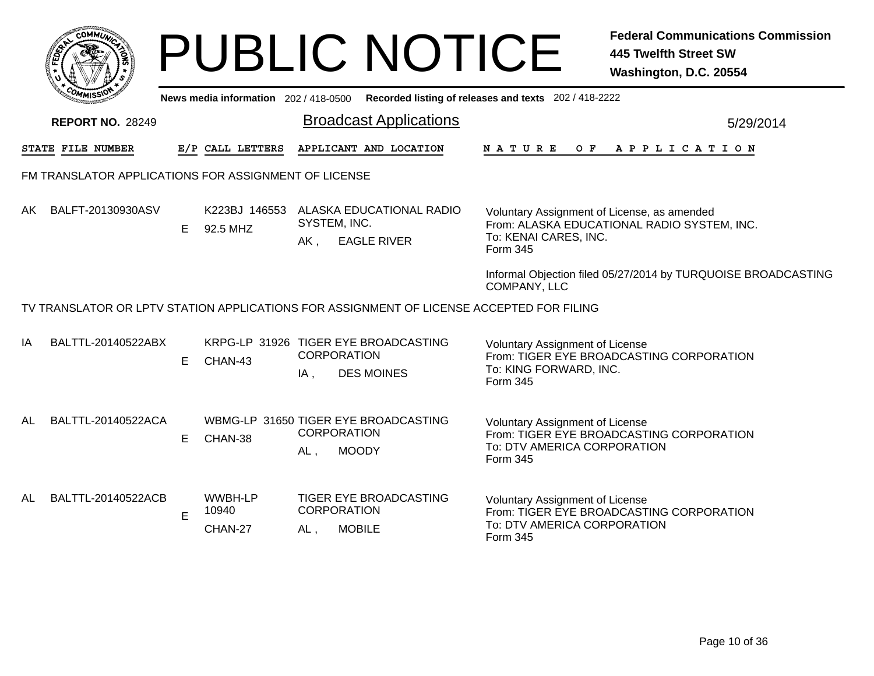|     |                                                                                          |    |                             |        | <b>PUBLIC NOTICE</b>                                                            |                                                                                         | <b>Federal Communications Commission</b><br><b>445 Twelfth Street SW</b><br>Washington, D.C. 20554 |
|-----|------------------------------------------------------------------------------------------|----|-----------------------------|--------|---------------------------------------------------------------------------------|-----------------------------------------------------------------------------------------|----------------------------------------------------------------------------------------------------|
|     |                                                                                          |    |                             |        |                                                                                 | News media information 202/418-0500 Recorded listing of releases and texts 202/418-2222 |                                                                                                    |
|     | <b>REPORT NO. 28249</b>                                                                  |    |                             |        | <b>Broadcast Applications</b>                                                   |                                                                                         | 5/29/2014                                                                                          |
|     | STATE FILE NUMBER                                                                        |    | E/P CALL LETTERS            |        | APPLICANT AND LOCATION                                                          | NATURE<br>O F                                                                           | A P P L I C A T I O N                                                                              |
|     | FM TRANSLATOR APPLICATIONS FOR ASSIGNMENT OF LICENSE                                     |    |                             |        |                                                                                 |                                                                                         |                                                                                                    |
| AK. | BALFT-20130930ASV                                                                        | E. | 92.5 MHZ                    | AK,    | K223BJ 146553 ALASKA EDUCATIONAL RADIO<br>SYSTEM, INC.<br><b>EAGLE RIVER</b>    | Voluntary Assignment of License, as amended<br>To: KENAI CARES, INC.<br>Form 345        | From: ALASKA EDUCATIONAL RADIO SYSTEM, INC.                                                        |
|     |                                                                                          |    |                             |        |                                                                                 | COMPANY, LLC                                                                            | Informal Objection filed 05/27/2014 by TURQUOISE BROADCASTING                                      |
|     | TV TRANSLATOR OR LPTV STATION APPLICATIONS FOR ASSIGNMENT OF LICENSE ACCEPTED FOR FILING |    |                             |        |                                                                                 |                                                                                         |                                                                                                    |
| ΙA  | BALTTL-20140522ABX                                                                       | E. | CHAN-43                     | $IA$ , | KRPG-LP 31926 TIGER EYE BROADCASTING<br><b>CORPORATION</b><br><b>DES MOINES</b> | Voluntary Assignment of License<br>To: KING FORWARD, INC.<br>Form 345                   | From: TIGER EYE BROADCASTING CORPORATION                                                           |
| AL  | BALTTL-20140522ACA                                                                       | Е  | CHAN-38                     | $AL$ , | WBMG-LP 31650 TIGER EYE BROADCASTING<br><b>CORPORATION</b><br><b>MOODY</b>      | <b>Voluntary Assignment of License</b><br>To: DTV AMERICA CORPORATION<br>Form 345       | From: TIGER EYE BROADCASTING CORPORATION                                                           |
| AL  | BALTTL-20140522ACB                                                                       | E  | WWBH-LP<br>10940<br>CHAN-27 | AL,    | TIGER EYE BROADCASTING<br><b>CORPORATION</b><br><b>MOBILE</b>                   | <b>Voluntary Assignment of License</b><br>To: DTV AMERICA CORPORATION<br>Form 345       | From: TIGER EYE BROADCASTING CORPORATION                                                           |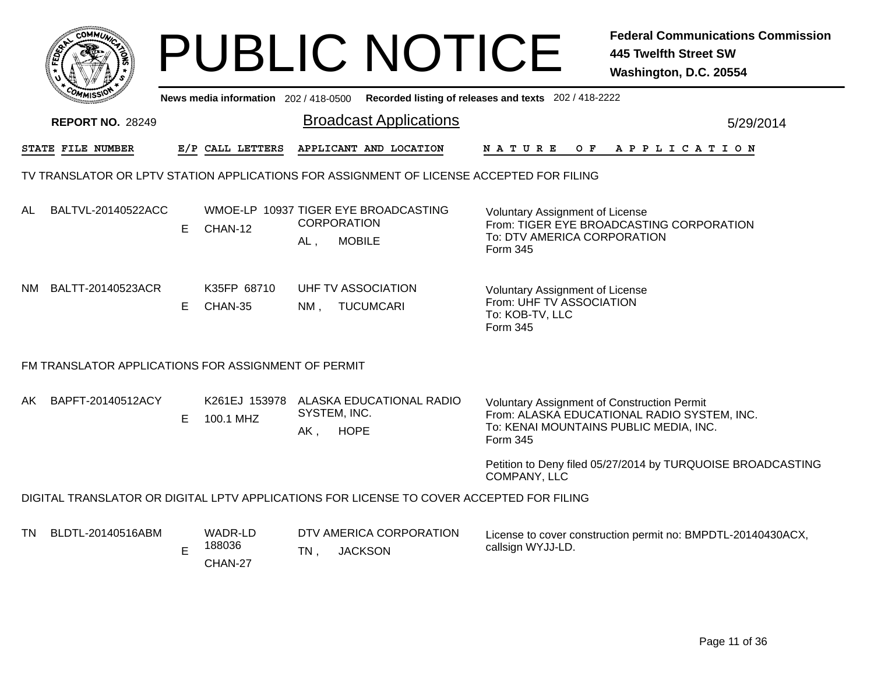|                                                                                          |                                                     |    |                                       |        | <b>PUBLIC NOTICE</b>                                                                     |                                                                                                   | <b>Federal Communications Commission</b><br><b>445 Twelfth Street SW</b><br>Washington, D.C. 20554 |  |  |  |  |
|------------------------------------------------------------------------------------------|-----------------------------------------------------|----|---------------------------------------|--------|------------------------------------------------------------------------------------------|---------------------------------------------------------------------------------------------------|----------------------------------------------------------------------------------------------------|--|--|--|--|
|                                                                                          |                                                     |    | News media information $202/418-0500$ |        |                                                                                          | Recorded listing of releases and texts 202 / 418-2222                                             |                                                                                                    |  |  |  |  |
|                                                                                          | <b>REPORT NO. 28249</b>                             |    |                                       |        | <b>Broadcast Applications</b>                                                            |                                                                                                   | 5/29/2014                                                                                          |  |  |  |  |
|                                                                                          | STATE FILE NUMBER                                   |    | E/P CALL LETTERS                      |        | APPLICANT AND LOCATION                                                                   | O F<br>N A T U R E                                                                                | A P P L I C A T I O N                                                                              |  |  |  |  |
| TV TRANSLATOR OR LPTV STATION APPLICATIONS FOR ASSIGNMENT OF LICENSE ACCEPTED FOR FILING |                                                     |    |                                       |        |                                                                                          |                                                                                                   |                                                                                                    |  |  |  |  |
| AL.                                                                                      | BALTVL-20140522ACC                                  | E. | CHAN-12                               | AL,    | WMOE-LP 10937 TIGER EYE BROADCASTING<br><b>CORPORATION</b><br><b>MOBILE</b>              | Voluntary Assignment of License<br>To: DTV AMERICA CORPORATION<br>Form 345                        | From: TIGER EYE BROADCASTING CORPORATION                                                           |  |  |  |  |
| NM.                                                                                      | BALTT-20140523ACR                                   | E. | K35FP 68710<br>CHAN-35                | NM.    | UHF TV ASSOCIATION<br><b>TUCUMCARI</b>                                                   | <b>Voluntary Assignment of License</b><br>From: UHF TV ASSOCIATION<br>To: KOB-TV, LLC<br>Form 345 |                                                                                                    |  |  |  |  |
|                                                                                          | FM TRANSLATOR APPLICATIONS FOR ASSIGNMENT OF PERMIT |    |                                       |        |                                                                                          |                                                                                                   |                                                                                                    |  |  |  |  |
| AK.                                                                                      | BAPFT-20140512ACY                                   | E  | 100.1 MHZ                             | AK,    | K261EJ 153978 ALASKA EDUCATIONAL RADIO<br>SYSTEM, INC.<br><b>HOPE</b>                    | <b>Voluntary Assignment of Construction Permit</b><br>Form 345                                    | From: ALASKA EDUCATIONAL RADIO SYSTEM, INC.<br>To: KENAI MOUNTAINS PUBLIC MEDIA, INC.              |  |  |  |  |
|                                                                                          |                                                     |    |                                       |        |                                                                                          | COMPANY, LLC                                                                                      | Petition to Deny filed 05/27/2014 by TURQUOISE BROADCASTING                                        |  |  |  |  |
|                                                                                          |                                                     |    |                                       |        | DIGITAL TRANSLATOR OR DIGITAL LPTV APPLICATIONS FOR LICENSE TO COVER ACCEPTED FOR FILING |                                                                                                   |                                                                                                    |  |  |  |  |
| TN.                                                                                      | BLDTL-20140516ABM                                   | E  | WADR-LD<br>188036<br>CHAN-27          | $TN$ , | DTV AMERICA CORPORATION<br><b>JACKSON</b>                                                | callsign WYJJ-LD.                                                                                 | License to cover construction permit no: BMPDTL-20140430ACX,                                       |  |  |  |  |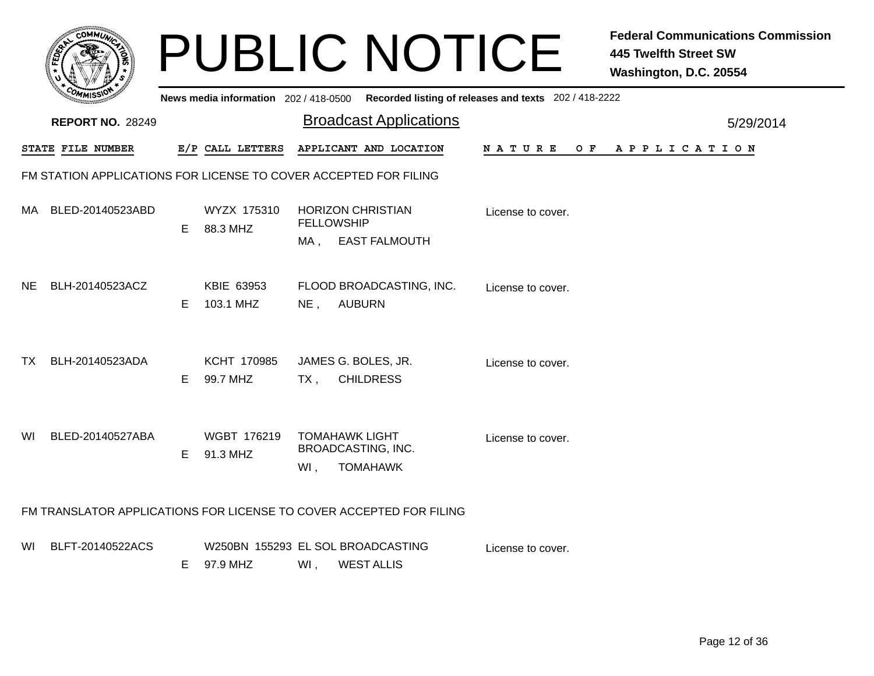|     | <b>COMMUT</b>                                                    |    |                                       |                   | <b>PUBLIC NOTICE</b>                                                |                                                       | <b>Federal Communications Commission</b><br><b>445 Twelfth Street SW</b><br>Washington, D.C. 20554 |  |  |  |  |  |
|-----|------------------------------------------------------------------|----|---------------------------------------|-------------------|---------------------------------------------------------------------|-------------------------------------------------------|----------------------------------------------------------------------------------------------------|--|--|--|--|--|
|     |                                                                  |    | News media information 202 / 418-0500 |                   |                                                                     | Recorded listing of releases and texts 202 / 418-2222 |                                                                                                    |  |  |  |  |  |
|     | <b>REPORT NO. 28249</b>                                          |    |                                       |                   | <b>Broadcast Applications</b>                                       |                                                       | 5/29/2014                                                                                          |  |  |  |  |  |
|     | STATE FILE NUMBER                                                |    | E/P CALL LETTERS                      |                   | APPLICANT AND LOCATION                                              | N A T U R E<br>O F                                    | A P P L I C A T I O N                                                                              |  |  |  |  |  |
|     | FM STATION APPLICATIONS FOR LICENSE TO COVER ACCEPTED FOR FILING |    |                                       |                   |                                                                     |                                                       |                                                                                                    |  |  |  |  |  |
| MA. | BLED-20140523ABD                                                 | E. | WYZX 175310<br>88.3 MHZ               | <b>FELLOWSHIP</b> | <b>HORIZON CHRISTIAN</b>                                            | License to cover.                                     |                                                                                                    |  |  |  |  |  |
|     |                                                                  |    |                                       | MA,               | <b>EAST FALMOUTH</b>                                                |                                                       |                                                                                                    |  |  |  |  |  |
| NE. | BLH-20140523ACZ                                                  |    | KBIE 63953                            |                   | FLOOD BROADCASTING, INC.                                            | License to cover.                                     |                                                                                                    |  |  |  |  |  |
|     |                                                                  | E. | 103.1 MHZ                             | NE,               | <b>AUBURN</b>                                                       |                                                       |                                                                                                    |  |  |  |  |  |
| ТX  | BLH-20140523ADA                                                  |    | KCHT 170985                           |                   | JAMES G. BOLES, JR.                                                 | License to cover.                                     |                                                                                                    |  |  |  |  |  |
|     |                                                                  | E. | 99.7 MHZ                              | TX,               | <b>CHILDRESS</b>                                                    |                                                       |                                                                                                    |  |  |  |  |  |
|     |                                                                  |    |                                       |                   |                                                                     |                                                       |                                                                                                    |  |  |  |  |  |
| WI  | BLED-20140527ABA                                                 | E. | WGBT 176219<br>91.3 MHZ               |                   | <b>TOMAHAWK LIGHT</b><br><b>BROADCASTING, INC.</b>                  | License to cover.                                     |                                                                                                    |  |  |  |  |  |
|     |                                                                  |    |                                       | Wl,               | <b>TOMAHAWK</b>                                                     |                                                       |                                                                                                    |  |  |  |  |  |
|     |                                                                  |    |                                       |                   | FM TRANSLATOR APPLICATIONS FOR LICENSE TO COVER ACCEPTED FOR FILING |                                                       |                                                                                                    |  |  |  |  |  |
| WI. | BLFT-20140522ACS                                                 |    |                                       |                   | W250BN 155293 EL SOL BROADCASTING                                   | License to cover.                                     |                                                                                                    |  |  |  |  |  |
|     |                                                                  | E. | 97.9 MHZ                              | WI,               | <b>WEST ALLIS</b>                                                   |                                                       |                                                                                                    |  |  |  |  |  |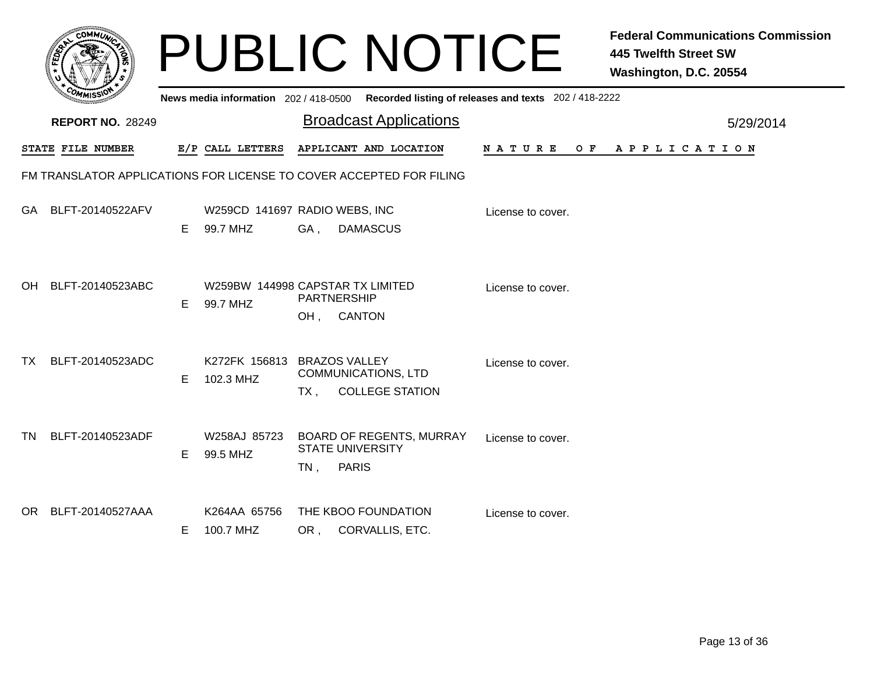|     |                                                                     |    |                                       | <b>PUBLIC NOTICE</b>                                                                   |                                                       | <b>Federal Communications Commission</b><br><b>445 Twelfth Street SW</b><br>Washington, D.C. 20554 |
|-----|---------------------------------------------------------------------|----|---------------------------------------|----------------------------------------------------------------------------------------|-------------------------------------------------------|----------------------------------------------------------------------------------------------------|
|     |                                                                     |    | News media information 202 / 418-0500 |                                                                                        | Recorded listing of releases and texts 202 / 418-2222 |                                                                                                    |
|     | <b>REPORT NO. 28249</b>                                             |    |                                       | <b>Broadcast Applications</b>                                                          |                                                       | 5/29/2014                                                                                          |
|     | STATE FILE NUMBER                                                   |    | E/P CALL LETTERS                      | APPLICANT AND LOCATION                                                                 | NATURE<br>O F                                         | APPLICATION                                                                                        |
|     | FM TRANSLATOR APPLICATIONS FOR LICENSE TO COVER ACCEPTED FOR FILING |    |                                       |                                                                                        |                                                       |                                                                                                    |
|     | GA BLFT-20140522AFV                                                 | E. | 99.7 MHZ                              | W259CD 141697 RADIO WEBS, INC<br><b>DAMASCUS</b><br>GA,                                | License to cover.                                     |                                                                                                    |
|     | OH BLFT-20140523ABC                                                 | E. | 99.7 MHZ                              | W259BW 144998 CAPSTAR TX LIMITED<br>PARTNERSHIP<br><b>CANTON</b><br>OH,                | License to cover.                                     |                                                                                                    |
| TX. | BLFT-20140523ADC                                                    | E  | K272FK 156813<br>102.3 MHZ            | <b>BRAZOS VALLEY</b><br><b>COMMUNICATIONS, LTD</b><br><b>COLLEGE STATION</b><br>$TX$ , | License to cover.                                     |                                                                                                    |
| TN. | BLFT-20140523ADF                                                    | E. | W258AJ 85723<br>99.5 MHZ              | BOARD OF REGENTS, MURRAY<br><b>STATE UNIVERSITY</b><br><b>PARIS</b><br>$TN$ ,          | License to cover.                                     |                                                                                                    |
|     | OR BLFT-20140527AAA                                                 | E. | K264AA 65756<br>100.7 MHZ             | THE KBOO FOUNDATION<br>OR, CORVALLIS, ETC.                                             | License to cover.                                     |                                                                                                    |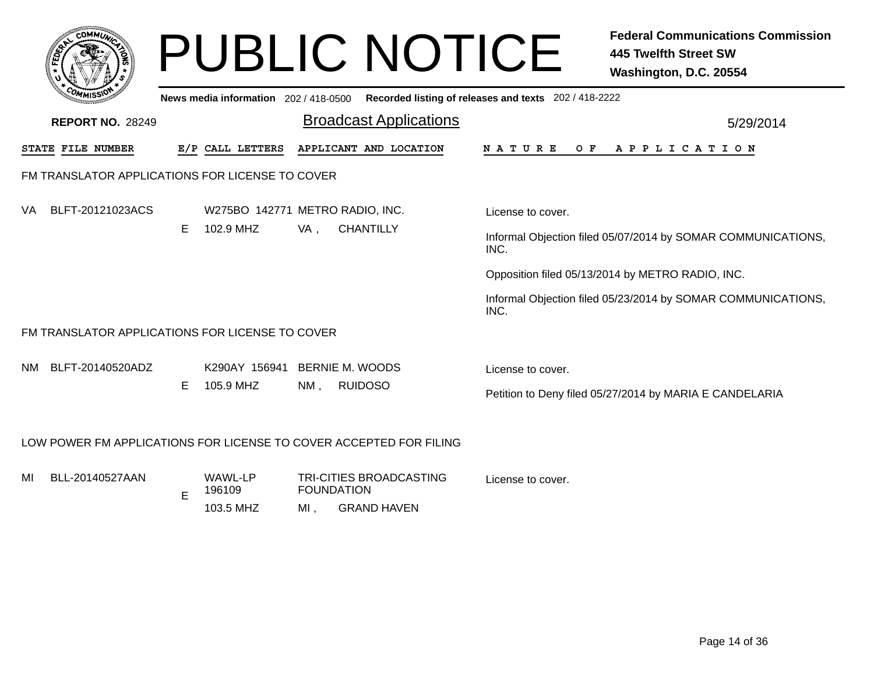|                                       |                                                                    |    |                                |                                 | <b>PUBLIC NOTICE</b>                                               | <b>Federal Communications Commission</b><br>445 Twelfth Street SW<br>Washington, D.C. 20554 |  |  |  |  |  |  |  |
|---------------------------------------|--------------------------------------------------------------------|----|--------------------------------|---------------------------------|--------------------------------------------------------------------|---------------------------------------------------------------------------------------------|--|--|--|--|--|--|--|
|                                       |                                                                    |    |                                |                                 |                                                                    | News media information 202 / 418-0500 Recorded listing of releases and texts 202 / 418-2222 |  |  |  |  |  |  |  |
|                                       | <b>REPORT NO. 28249</b>                                            |    |                                |                                 | <b>Broadcast Applications</b>                                      | 5/29/2014                                                                                   |  |  |  |  |  |  |  |
| STATE FILE NUMBER<br>E/P CALL LETTERS |                                                                    |    |                                |                                 | APPLICANT AND LOCATION                                             | N A T U R E<br>O F<br>A P P L I C A T I O N                                                 |  |  |  |  |  |  |  |
|                                       | FM TRANSLATOR APPLICATIONS FOR LICENSE TO COVER                    |    |                                |                                 |                                                                    |                                                                                             |  |  |  |  |  |  |  |
| VA                                    | BLFT-20121023ACS                                                   |    |                                | W275BO 142771 METRO RADIO, INC. |                                                                    | License to cover.                                                                           |  |  |  |  |  |  |  |
|                                       |                                                                    | E. | 102.9 MHZ                      | VA,                             | <b>CHANTILLY</b>                                                   | Informal Objection filed 05/07/2014 by SOMAR COMMUNICATIONS,<br>INC.                        |  |  |  |  |  |  |  |
|                                       |                                                                    |    |                                |                                 |                                                                    | Opposition filed 05/13/2014 by METRO RADIO, INC.                                            |  |  |  |  |  |  |  |
|                                       |                                                                    |    |                                |                                 |                                                                    | Informal Objection filed 05/23/2014 by SOMAR COMMUNICATIONS,<br>INC.                        |  |  |  |  |  |  |  |
|                                       | FM TRANSLATOR APPLICATIONS FOR LICENSE TO COVER                    |    |                                |                                 |                                                                    |                                                                                             |  |  |  |  |  |  |  |
| NM                                    | BLFT-20140520ADZ                                                   |    | K290AY 156941 BERNIE M. WOODS  |                                 |                                                                    | License to cover.                                                                           |  |  |  |  |  |  |  |
|                                       |                                                                    | Е  | 105.9 MHZ                      | $NM$ ,                          | <b>RUIDOSO</b>                                                     | Petition to Deny filed 05/27/2014 by MARIA E CANDELARIA                                     |  |  |  |  |  |  |  |
|                                       | LOW POWER FM APPLICATIONS FOR LICENSE TO COVER ACCEPTED FOR FILING |    |                                |                                 |                                                                    |                                                                                             |  |  |  |  |  |  |  |
| MI                                    | BLL-20140527AAN                                                    | Е  | WAWL-LP<br>196109<br>103.5 MHZ | MI,                             | TRI-CITIES BROADCASTING<br><b>FOUNDATION</b><br><b>GRAND HAVEN</b> | License to cover.                                                                           |  |  |  |  |  |  |  |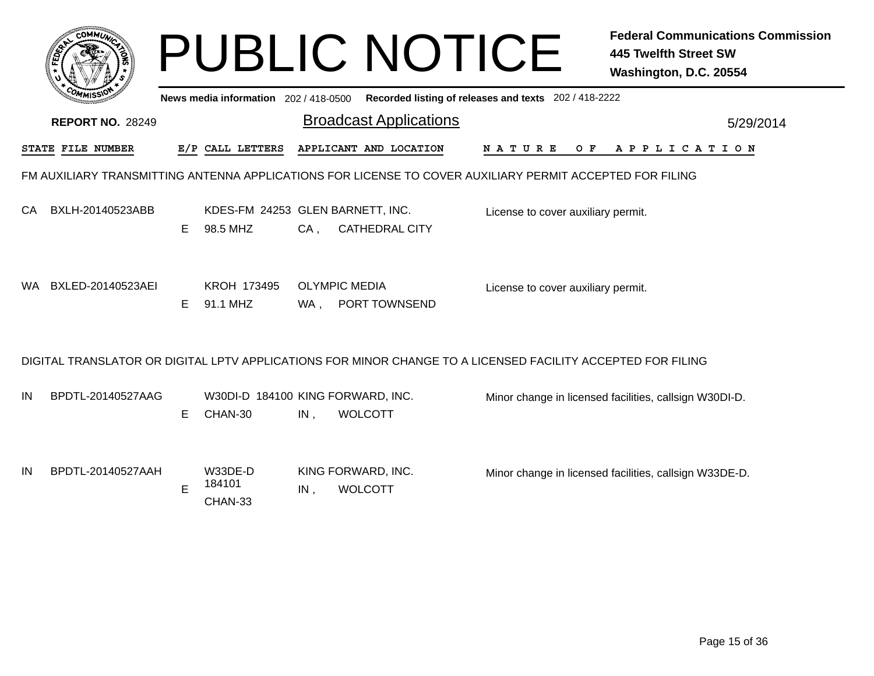|     |                         |    |                                              |        | <b>PUBLIC NOTICE</b>                                                                                        |                                    |     | <b>Federal Communications Commission</b><br><b>445 Twelfth Street SW</b><br>Washington, D.C. 20554 |
|-----|-------------------------|----|----------------------------------------------|--------|-------------------------------------------------------------------------------------------------------------|------------------------------------|-----|----------------------------------------------------------------------------------------------------|
|     |                         |    | News media information 202 / 418-0500        |        | Recorded listing of releases and texts 202 / 418-2222                                                       |                                    |     |                                                                                                    |
|     | <b>REPORT NO. 28249</b> |    |                                              |        | <b>Broadcast Applications</b>                                                                               |                                    |     | 5/29/2014                                                                                          |
|     | STATE FILE NUMBER       |    | E/P CALL LETTERS                             |        | APPLICANT AND LOCATION                                                                                      | N A T U R E                        | O F | A P P L I C A T I O N                                                                              |
|     |                         |    |                                              |        | FM AUXILIARY TRANSMITTING ANTENNA APPLICATIONS FOR LICENSE TO COVER AUXILIARY PERMIT ACCEPTED FOR FILING    |                                    |     |                                                                                                    |
| CA. | BXLH-20140523ABB        | E. | KDES-FM 24253 GLEN BARNETT, INC.<br>98.5 MHZ | $CA$ , | <b>CATHEDRAL CITY</b>                                                                                       | License to cover auxiliary permit. |     |                                                                                                    |
| WA. | BXLED-20140523AEI       | E. | KROH 173495<br>91.1 MHZ                      | WA .   | <b>OLYMPIC MEDIA</b><br>PORT TOWNSEND                                                                       | License to cover auxiliary permit. |     |                                                                                                    |
|     |                         |    |                                              |        | DIGITAL TRANSLATOR OR DIGITAL LPTV APPLICATIONS FOR MINOR CHANGE TO A LICENSED FACILITY ACCEPTED FOR FILING |                                    |     |                                                                                                    |
| IN  | BPDTL-20140527AAG       | E. | W30DI-D 184100 KING FORWARD, INC.<br>CHAN-30 | IN,    | <b>WOLCOTT</b>                                                                                              |                                    |     | Minor change in licensed facilities, callsign W30DI-D.                                             |
| IN  | BPDTL-20140527AAH       | E  | W33DE-D<br>184101<br>CHAN-33                 | IN,    | KING FORWARD, INC.<br><b>WOLCOTT</b>                                                                        |                                    |     | Minor change in licensed facilities, callsign W33DE-D.                                             |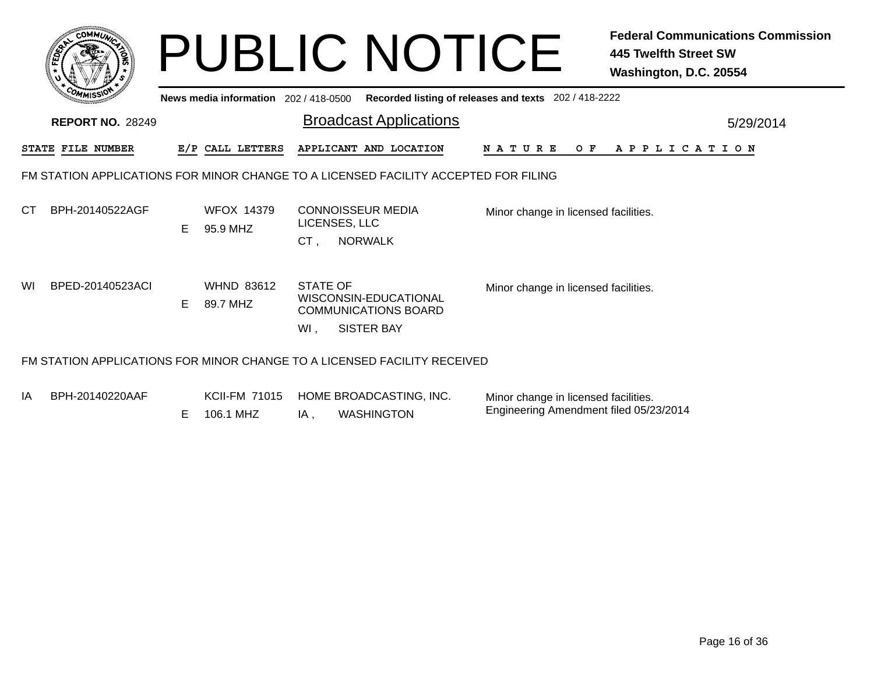|    |                         |    |                                       | <b>PUBLIC NOTICE</b>                                                                                | <b>Federal Communications Commission</b><br>445 Twelfth Street SW<br>Washington, D.C. 20554 |                       |  |  |  |  |  |  |
|----|-------------------------|----|---------------------------------------|-----------------------------------------------------------------------------------------------------|---------------------------------------------------------------------------------------------|-----------------------|--|--|--|--|--|--|
|    | <b>REPORT NO. 28249</b> |    | News media information 202 / 418-0500 | Recorded listing of releases and texts 202 / 418-2222<br>5/29/2014                                  |                                                                                             |                       |  |  |  |  |  |  |
|    | STATE FILE NUMBER       |    | E/P CALL LETTERS                      | APPLICANT AND LOCATION                                                                              | N A T U R E<br>O F                                                                          | A P P L I C A T I O N |  |  |  |  |  |  |
|    |                         |    |                                       | FM STATION APPLICATIONS FOR MINOR CHANGE TO A LICENSED FACILITY ACCEPTED FOR FILING                 |                                                                                             |                       |  |  |  |  |  |  |
| СT | BPH-20140522AGF         | E. | <b>WFOX 14379</b><br>95.9 MHZ         | <b>CONNOISSEUR MEDIA</b><br>LICENSES, LLC<br><b>NORWALK</b><br>CT.                                  | Minor change in licensed facilities.                                                        |                       |  |  |  |  |  |  |
| WI | BPED-20140523ACI        | E  | <b>WHND 83612</b><br>89.7 MHZ         | <b>STATE OF</b><br>WISCONSIN-EDUCATIONAL<br><b>COMMUNICATIONS BOARD</b><br><b>SISTER BAY</b><br>WI. | Minor change in licensed facilities.                                                        |                       |  |  |  |  |  |  |
|    |                         |    |                                       | FM STATION APPLICATIONS FOR MINOR CHANGE TO A LICENSED FACILITY RECEIVED                            |                                                                                             |                       |  |  |  |  |  |  |

IA KCII-FM 71015 HOME BROADCASTING, INC.  $IA,$ **WASHINGTON** BPH-20140220AAF E 106.1 MHZ Minor change in licensed facilities. Engineering Amendment filed 05/23/2014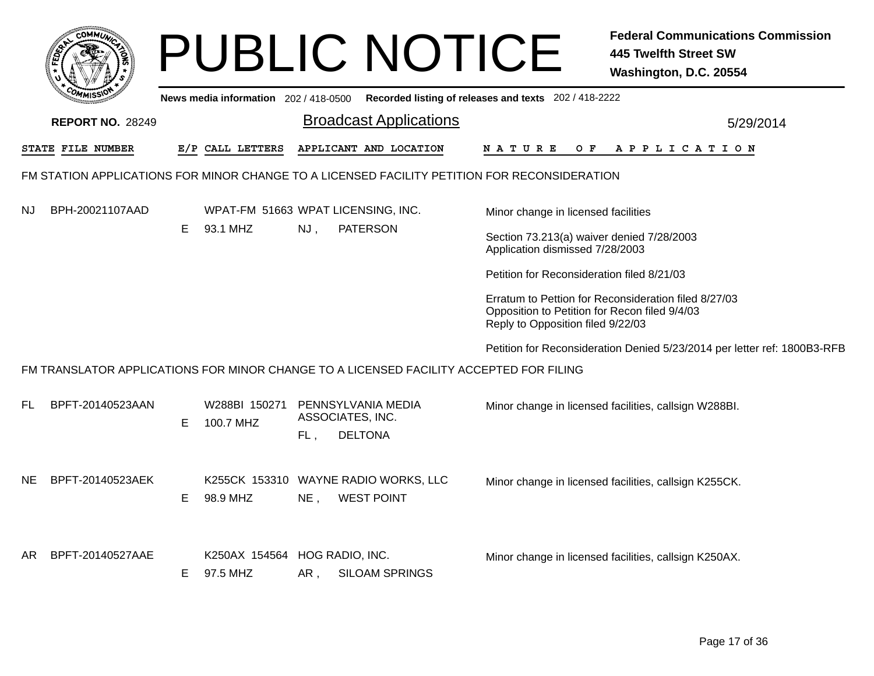|     | <b>COMMI</b>                                                                                 |    |                                           |                                               | <b>PUBLIC NOTICE</b>                                      |                                                                                                                                            | <b>Federal Communications Commission</b><br><b>445 Twelfth Street SW</b><br>Washington, D.C. 20554 |  |  |  |  |  |
|-----|----------------------------------------------------------------------------------------------|----|-------------------------------------------|-----------------------------------------------|-----------------------------------------------------------|--------------------------------------------------------------------------------------------------------------------------------------------|----------------------------------------------------------------------------------------------------|--|--|--|--|--|
|     |                                                                                              |    | News media information 202 / 418-0500     |                                               |                                                           | Recorded listing of releases and texts 202 / 418-2222                                                                                      |                                                                                                    |  |  |  |  |  |
|     | <b>REPORT NO. 28249</b>                                                                      |    |                                           |                                               | <b>Broadcast Applications</b>                             | 5/29/2014                                                                                                                                  |                                                                                                    |  |  |  |  |  |
|     | STATE FILE NUMBER                                                                            |    | E/P CALL LETTERS                          |                                               | APPLICANT AND LOCATION                                    | N A T U R E                                                                                                                                | OF APPLICATION                                                                                     |  |  |  |  |  |
|     | FM STATION APPLICATIONS FOR MINOR CHANGE TO A LICENSED FACILITY PETITION FOR RECONSIDERATION |    |                                           |                                               |                                                           |                                                                                                                                            |                                                                                                    |  |  |  |  |  |
| NJ  | BPH-20021107AAD                                                                              |    | WPAT-FM 51663 WPAT LICENSING, INC.        |                                               |                                                           | Minor change in licensed facilities                                                                                                        |                                                                                                    |  |  |  |  |  |
|     |                                                                                              | E. | 93.1 MHZ                                  | NJ,                                           | <b>PATERSON</b>                                           | Section 73.213(a) waiver denied 7/28/2003<br>Application dismissed 7/28/2003                                                               |                                                                                                    |  |  |  |  |  |
|     |                                                                                              |    |                                           |                                               |                                                           | Petition for Reconsideration filed 8/21/03                                                                                                 |                                                                                                    |  |  |  |  |  |
|     |                                                                                              |    |                                           |                                               |                                                           | Erratum to Pettion for Reconsideration filed 8/27/03<br>Opposition to Petition for Recon filed 9/4/03<br>Reply to Opposition filed 9/22/03 |                                                                                                    |  |  |  |  |  |
|     |                                                                                              |    |                                           |                                               |                                                           |                                                                                                                                            | Petition for Reconsideration Denied 5/23/2014 per letter ref: 1800B3-RFB                           |  |  |  |  |  |
|     | FM TRANSLATOR APPLICATIONS FOR MINOR CHANGE TO A LICENSED FACILITY ACCEPTED FOR FILING       |    |                                           |                                               |                                                           |                                                                                                                                            |                                                                                                    |  |  |  |  |  |
| FL. | BPFT-20140523AAN                                                                             | Е  | W288BI 150271<br>100.7 MHZ                | PENNSYLVANIA MEDIA<br>ASSOCIATES, INC.<br>FL, | <b>DELTONA</b>                                            |                                                                                                                                            | Minor change in licensed facilities, callsign W288BI.                                              |  |  |  |  |  |
| NE. | BPFT-20140523AEK                                                                             | E. | 98.9 MHZ                                  | NE,                                           | K255CK 153310 WAYNE RADIO WORKS, LLC<br><b>WEST POINT</b> |                                                                                                                                            | Minor change in licensed facilities, callsign K255CK.                                              |  |  |  |  |  |
| AR. | BPFT-20140527AAE                                                                             | E. | K250AX 154564 HOG RADIO, INC.<br>97.5 MHZ | AR,                                           | <b>SILOAM SPRINGS</b>                                     |                                                                                                                                            | Minor change in licensed facilities, callsign K250AX.                                              |  |  |  |  |  |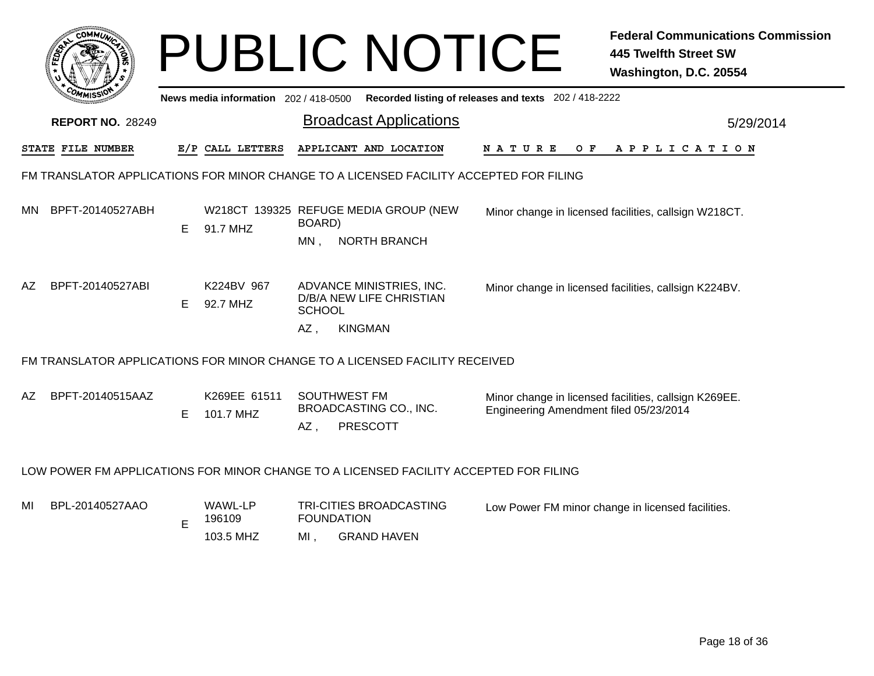|     |                                                                                        |    |                                       |                     | <b>PUBLIC NOTICE</b>                                 |                                                       | <b>Federal Communications Commission</b><br><b>445 Twelfth Street SW</b><br>Washington, D.C. 20554 |
|-----|----------------------------------------------------------------------------------------|----|---------------------------------------|---------------------|------------------------------------------------------|-------------------------------------------------------|----------------------------------------------------------------------------------------------------|
|     |                                                                                        |    | News media information 202 / 418-0500 |                     |                                                      | Recorded listing of releases and texts 202 / 418-2222 |                                                                                                    |
|     | <b>REPORT NO. 28249</b>                                                                |    |                                       |                     | <b>Broadcast Applications</b>                        |                                                       | 5/29/2014                                                                                          |
|     | STATE FILE NUMBER                                                                      |    | E/P CALL LETTERS                      |                     | APPLICANT AND LOCATION                               | <b>NATURE</b><br>O F                                  | A P P L I C A T I O N                                                                              |
|     | FM TRANSLATOR APPLICATIONS FOR MINOR CHANGE TO A LICENSED FACILITY ACCEPTED FOR FILING |    |                                       |                     |                                                      |                                                       |                                                                                                    |
| MN. | BPFT-20140527ABH                                                                       | E. | 91.7 MHZ                              | BOARD)              | W218CT 139325 REFUGE MEDIA GROUP (NEW                |                                                       | Minor change in licensed facilities, callsign W218CT.                                              |
|     |                                                                                        |    |                                       | $MN$ ,              | <b>NORTH BRANCH</b>                                  |                                                       |                                                                                                    |
| AZ. | BPFT-20140527ABI                                                                       | E. | K224BV 967<br>92.7 MHZ                | <b>SCHOOL</b>       | ADVANCE MINISTRIES, INC.<br>D/B/A NEW LIFE CHRISTIAN |                                                       | Minor change in licensed facilities, callsign K224BV.                                              |
|     |                                                                                        |    |                                       | $AZ$ ,              | <b>KINGMAN</b>                                       |                                                       |                                                                                                    |
|     | FM TRANSLATOR APPLICATIONS FOR MINOR CHANGE TO A LICENSED FACILITY RECEIVED            |    |                                       |                     |                                                      |                                                       |                                                                                                    |
| AZ. | BPFT-20140515AAZ                                                                       | E  | K269EE 61511<br>101.7 MHZ             | SOUTHWEST FM<br>AZ, | BROADCASTING CO., INC.<br><b>PRESCOTT</b>            | Engineering Amendment filed 05/23/2014                | Minor change in licensed facilities, callsign K269EE.                                              |
|     | LOW POWER FM APPLICATIONS FOR MINOR CHANGE TO A LICENSED FACILITY ACCEPTED FOR FILING  |    |                                       |                     |                                                      |                                                       |                                                                                                    |
| MI  | BPL-20140527AAO                                                                        | E  | WAWL-LP<br>196109                     | <b>FOUNDATION</b>   | TRI-CITIES BROADCASTING                              |                                                       | Low Power FM minor change in licensed facilities.                                                  |
|     |                                                                                        |    | 103.5 MHZ                             | MI.                 | <b>GRAND HAVEN</b>                                   |                                                       |                                                                                                    |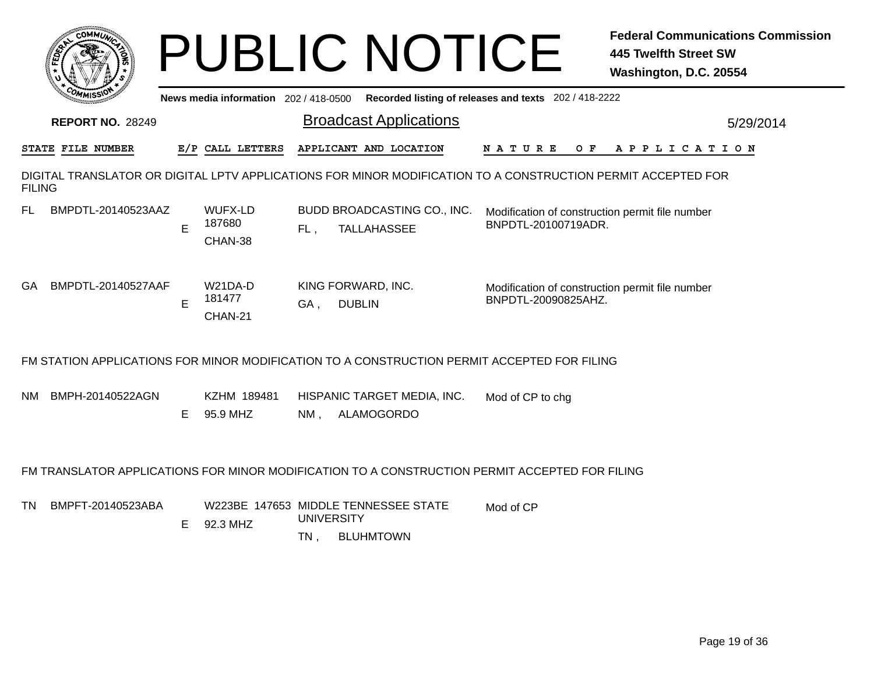| COMMU                                                                                                                         |    | <b>PUBLIC NOTICE</b>                             |                               |                                       |                    |  |                                                       |  |  |           |                     |                       |  |  |  |  | <b>445 Twelfth Street SW</b><br>Washington, D.C. 20554 |  |           |  |  | <b>Federal Communications Commission</b> |
|-------------------------------------------------------------------------------------------------------------------------------|----|--------------------------------------------------|-------------------------------|---------------------------------------|--------------------|--|-------------------------------------------------------|--|--|-----------|---------------------|-----------------------|--|--|--|--|--------------------------------------------------------|--|-----------|--|--|------------------------------------------|
|                                                                                                                               |    | News media information 202 / 418-0500            |                               |                                       |                    |  | Recorded listing of releases and texts 202 / 418-2222 |  |  |           |                     |                       |  |  |  |  |                                                        |  |           |  |  |                                          |
| <b>REPORT NO. 28249</b>                                                                                                       |    |                                                  | <b>Broadcast Applications</b> |                                       |                    |  |                                                       |  |  |           |                     |                       |  |  |  |  |                                                        |  | 5/29/2014 |  |  |                                          |
| E/P CALL LETTERS<br>STATE FILE NUMBER                                                                                         |    |                                                  |                               | APPLICANT AND LOCATION<br>N A T U R E |                    |  |                                                       |  |  | O F       |                     | A P P L I C A T I O N |  |  |  |  |                                                        |  |           |  |  |                                          |
| DIGITAL TRANSLATOR OR DIGITAL LPTV APPLICATIONS FOR MINOR MODIFICATION TO A CONSTRUCTION PERMIT ACCEPTED FOR<br><b>FILING</b> |    |                                                  |                               |                                       |                    |  |                                                       |  |  |           |                     |                       |  |  |  |  |                                                        |  |           |  |  |                                          |
| BMPDTL-20140523AAZ<br>FL                                                                                                      | E  | WUFX-LD<br>187680<br>CHAN-38                     | FL,                           |                                       | <b>TALLAHASSEE</b> |  | BUDD BROADCASTING CO., INC.                           |  |  |           | BNPDTL-20100719ADR. |                       |  |  |  |  | Modification of construction permit file number        |  |           |  |  |                                          |
| BMPDTL-20140527AAF<br>GA.                                                                                                     | E  | W21DA-D<br>181477<br>CHAN-21                     | KING FORWARD, INC.<br>GA,     | <b>DUBLIN</b>                         |                    |  |                                                       |  |  |           | BNPDTL-20090825AHZ. |                       |  |  |  |  | Modification of construction permit file number        |  |           |  |  |                                          |
| FM STATION APPLICATIONS FOR MINOR MODIFICATION TO A CONSTRUCTION PERMIT ACCEPTED FOR FILING                                   |    |                                                  |                               |                                       |                    |  |                                                       |  |  |           |                     |                       |  |  |  |  |                                                        |  |           |  |  |                                          |
| BMPH-20140522AGN<br>NM.                                                                                                       | F. | KZHM 189481<br>95.9 MHZ                          | NM, ALAMOGORDO                |                                       |                    |  | HISPANIC TARGET MEDIA, INC.                           |  |  |           | Mod of CP to chg    |                       |  |  |  |  |                                                        |  |           |  |  |                                          |
| FM TRANSLATOR APPLICATIONS FOR MINOR MODIFICATION TO A CONSTRUCTION PERMIT ACCEPTED FOR FILING                                |    |                                                  |                               |                                       |                    |  |                                                       |  |  |           |                     |                       |  |  |  |  |                                                        |  |           |  |  |                                          |
| BMPFT-20140523ABA<br>TN.                                                                                                      | E  | W223BE 147653 MIDDLE TENNESSEE STATE<br>92.3 MHZ | <b>UNIVERSITY</b><br>$TN$ ,   |                                       | <b>BLUHMTOWN</b>   |  |                                                       |  |  | Mod of CP |                     |                       |  |  |  |  |                                                        |  |           |  |  |                                          |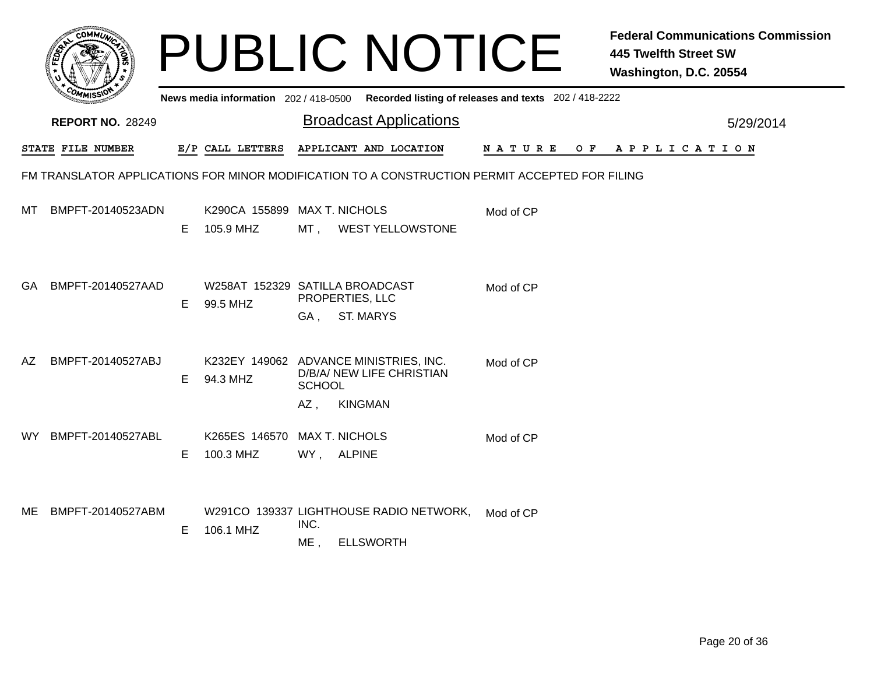|                                                                                                |                         |   |                                                    |                                        | <b>PUBLIC NOTICE</b>                                                                    |             |     | <b>Federal Communications Commission</b><br><b>445 Twelfth Street SW</b><br>Washington, D.C. 20554 |  |  |
|------------------------------------------------------------------------------------------------|-------------------------|---|----------------------------------------------------|----------------------------------------|-----------------------------------------------------------------------------------------|-------------|-----|----------------------------------------------------------------------------------------------------|--|--|
|                                                                                                |                         |   |                                                    |                                        | News media information 202/418-0500 Recorded listing of releases and texts 202/418-2222 |             |     |                                                                                                    |  |  |
|                                                                                                | <b>REPORT NO. 28249</b> |   |                                                    |                                        | <b>Broadcast Applications</b>                                                           |             |     | 5/29/2014                                                                                          |  |  |
|                                                                                                | STATE FILE NUMBER       |   | E/P CALL LETTERS                                   |                                        | APPLICANT AND LOCATION                                                                  | N A T U R E | O F | A P P L I C A T I O N                                                                              |  |  |
| FM TRANSLATOR APPLICATIONS FOR MINOR MODIFICATION TO A CONSTRUCTION PERMIT ACCEPTED FOR FILING |                         |   |                                                    |                                        |                                                                                         |             |     |                                                                                                    |  |  |
| MT                                                                                             | BMPFT-20140523ADN       | E | K290CA 155899 MAX T. NICHOLS<br>105.9 MHZ          | MT ,                                   | <b>WEST YELLOWSTONE</b>                                                                 | Mod of CP   |     |                                                                                                    |  |  |
| GA.                                                                                            | BMPFT-20140527AAD       | Е | W258AT 152329 SATILLA BROADCAST<br>99.5 MHZ        | PROPERTIES, LLC<br>GA,                 | <b>ST. MARYS</b>                                                                        | Mod of CP   |     |                                                                                                    |  |  |
| AZ                                                                                             | BMPFT-20140527ABJ       | Е | K232EY 149062 ADVANCE MINISTRIES, INC.<br>94.3 MHZ | <b>SCHOOL</b><br><b>KINGMAN</b><br>AZ, | D/B/A/ NEW LIFE CHRISTIAN                                                               | Mod of CP   |     |                                                                                                    |  |  |
| WY .                                                                                           | BMPFT-20140527ABL       | Е | K265ES 146570<br>100.3 MHZ                         | <b>MAX T. NICHOLS</b><br>WY, ALPINE    |                                                                                         | Mod of CP   |     |                                                                                                    |  |  |
| ME                                                                                             | BMPFT-20140527ABM       | Е | 106.1 MHZ                                          | INC.<br>ME,                            | W291CO 139337 LIGHTHOUSE RADIO NETWORK,<br><b>ELLSWORTH</b>                             | Mod of CP   |     |                                                                                                    |  |  |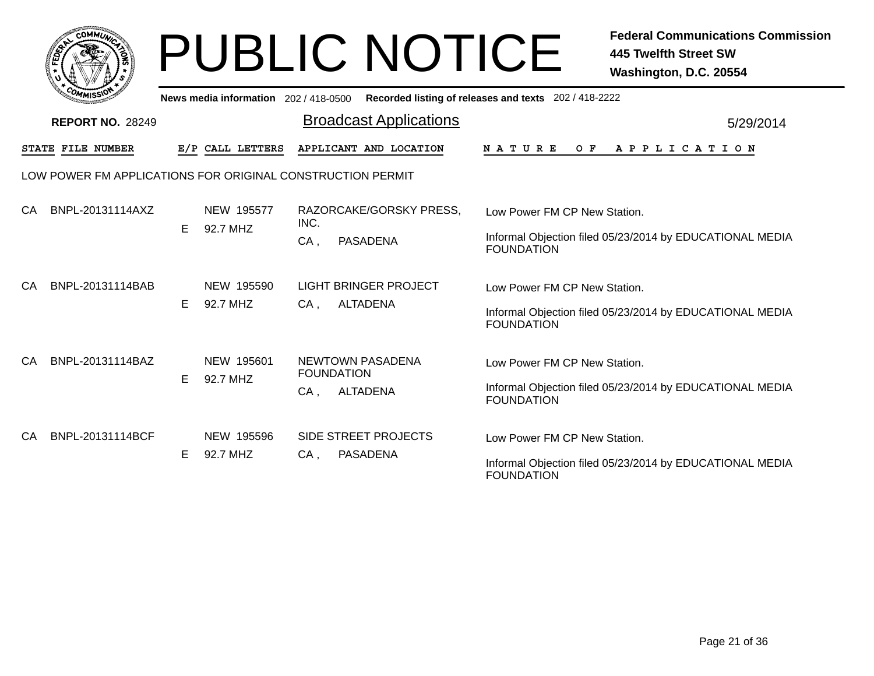|      | <b>COMMUNT</b>               |   |
|------|------------------------------|---|
| ឆ្នំ |                              | ્ |
|      |                              |   |
|      | c <sub>o/</sub><br>MISS<br>M |   |

|    | ັຟຟເຂລທີ<br>News media information 202 / 418-0500 Recorded listing of releases and texts 202 / 418-2222 |   |                        |                                                           |                                                                                                               |  |  |  |  |  |  |  |
|----|---------------------------------------------------------------------------------------------------------|---|------------------------|-----------------------------------------------------------|---------------------------------------------------------------------------------------------------------------|--|--|--|--|--|--|--|
|    | <b>REPORT NO. 28249</b>                                                                                 |   |                        | <b>Broadcast Applications</b>                             | 5/29/2014                                                                                                     |  |  |  |  |  |  |  |
|    | STATE FILE NUMBER                                                                                       |   | E/P CALL LETTERS       | APPLICANT AND LOCATION                                    | O F<br>A P P L I C A T I O N<br>N A T U R E                                                                   |  |  |  |  |  |  |  |
|    | LOW POWER FM APPLICATIONS FOR ORIGINAL CONSTRUCTION PERMIT                                              |   |                        |                                                           |                                                                                                               |  |  |  |  |  |  |  |
| CA | BNPL-20131114AXZ                                                                                        | E | NEW 195577<br>92.7 MHZ | RAZORCAKE/GORSKY PRESS,<br>INC.<br>$CA$ ,<br>PASADENA     | Low Power FM CP New Station.<br>Informal Objection filed 05/23/2014 by EDUCATIONAL MEDIA<br><b>FOUNDATION</b> |  |  |  |  |  |  |  |
| CA | BNPL-20131114BAB                                                                                        | E | NEW 195590<br>92.7 MHZ | <b>LIGHT BRINGER PROJECT</b><br><b>ALTADENA</b><br>$CA$ , | Low Power FM CP New Station.<br>Informal Objection filed 05/23/2014 by EDUCATIONAL MEDIA<br><b>FOUNDATION</b> |  |  |  |  |  |  |  |
| CA | BNPL-20131114BAZ                                                                                        | E | NEW 195601<br>92.7 MHZ | NEWTOWN PASADENA<br><b>FOUNDATION</b><br>ALTADENA<br>CA,  | Low Power FM CP New Station.<br>Informal Objection filed 05/23/2014 by EDUCATIONAL MEDIA<br><b>FOUNDATION</b> |  |  |  |  |  |  |  |
| CA | BNPL-20131114BCF                                                                                        | Е | NEW 195596<br>92.7 MHZ | <b>SIDE STREET PROJECTS</b><br><b>PASADENA</b><br>CA,     | Low Power FM CP New Station.<br>Informal Objection filed 05/23/2014 by EDUCATIONAL MEDIA<br><b>FOUNDATION</b> |  |  |  |  |  |  |  |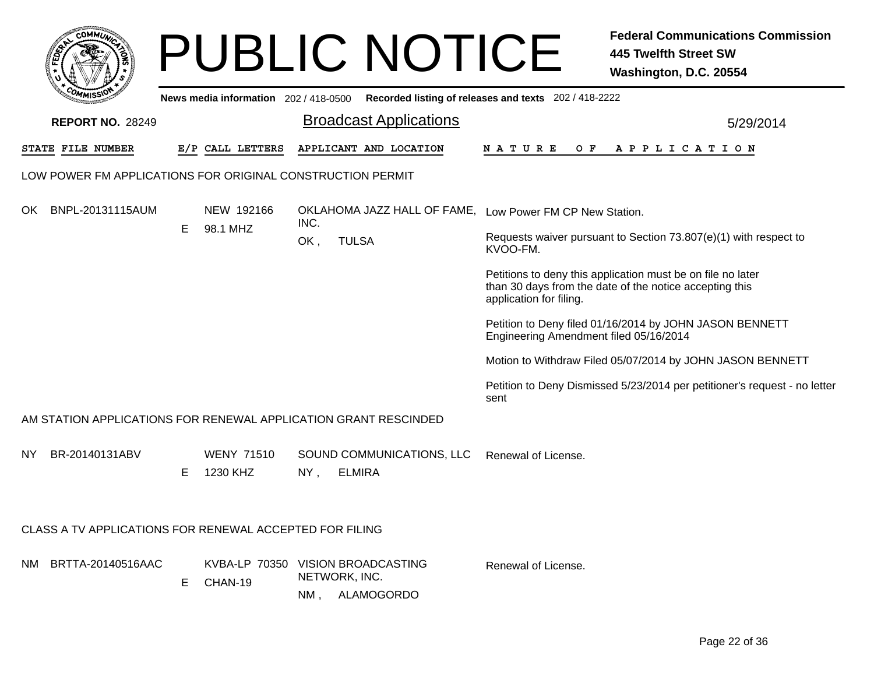|      |                                                                 |    |                                       |               | <b>PUBLIC NOTICE</b>                         | <b>Federal Communications Commission</b><br><b>445 Twelfth Street SW</b><br>Washington, D.C. 20554                                                |  |  |  |  |
|------|-----------------------------------------------------------------|----|---------------------------------------|---------------|----------------------------------------------|---------------------------------------------------------------------------------------------------------------------------------------------------|--|--|--|--|
|      |                                                                 |    | News media information 202 / 418-0500 |               |                                              | Recorded listing of releases and texts 202 / 418-2222                                                                                             |  |  |  |  |
|      | <b>REPORT NO. 28249</b>                                         |    |                                       |               | <b>Broadcast Applications</b>                | 5/29/2014                                                                                                                                         |  |  |  |  |
|      | STATE FILE NUMBER                                               |    | E/P CALL LETTERS                      |               | APPLICANT AND LOCATION                       | N A T U R E<br>O F<br>A P P L I C A T I O N                                                                                                       |  |  |  |  |
|      | LOW POWER FM APPLICATIONS FOR ORIGINAL CONSTRUCTION PERMIT      |    |                                       |               |                                              |                                                                                                                                                   |  |  |  |  |
| OK.  | BNPL-20131115AUM                                                |    | NEW 192166                            | INC.          |                                              | OKLAHOMA JAZZ HALL OF FAME, Low Power FM CP New Station.                                                                                          |  |  |  |  |
|      |                                                                 | Е  | 98.1 MHZ                              | OK,           | <b>TULSA</b>                                 | Requests waiver pursuant to Section 73.807(e)(1) with respect to<br>KVOO-FM.                                                                      |  |  |  |  |
|      |                                                                 |    |                                       |               |                                              | Petitions to deny this application must be on file no later<br>than 30 days from the date of the notice accepting this<br>application for filing. |  |  |  |  |
|      |                                                                 |    |                                       |               |                                              | Petition to Deny filed 01/16/2014 by JOHN JASON BENNETT<br>Engineering Amendment filed 05/16/2014                                                 |  |  |  |  |
|      |                                                                 |    |                                       |               |                                              | Motion to Withdraw Filed 05/07/2014 by JOHN JASON BENNETT                                                                                         |  |  |  |  |
|      |                                                                 |    |                                       |               |                                              | Petition to Deny Dismissed 5/23/2014 per petitioner's request - no letter<br>sent                                                                 |  |  |  |  |
|      | AM STATION APPLICATIONS FOR RENEWAL APPLICATION GRANT RESCINDED |    |                                       |               |                                              |                                                                                                                                                   |  |  |  |  |
| NY.  | BR-20140131ABV                                                  | E  | <b>WENY 71510</b><br>1230 KHZ         | $NY$ ,        | SOUND COMMUNICATIONS, LLC<br><b>ELMIRA</b>   | Renewal of License.                                                                                                                               |  |  |  |  |
|      | CLASS A TV APPLICATIONS FOR RENEWAL ACCEPTED FOR FILING         |    |                                       |               |                                              |                                                                                                                                                   |  |  |  |  |
| NM - | BRTTA-20140516AAC                                               | E. | KVBA-LP 70350<br>CHAN-19              | NETWORK, INC. | <b>VISION BROADCASTING</b><br>NM, ALAMOGORDO | Renewal of License.                                                                                                                               |  |  |  |  |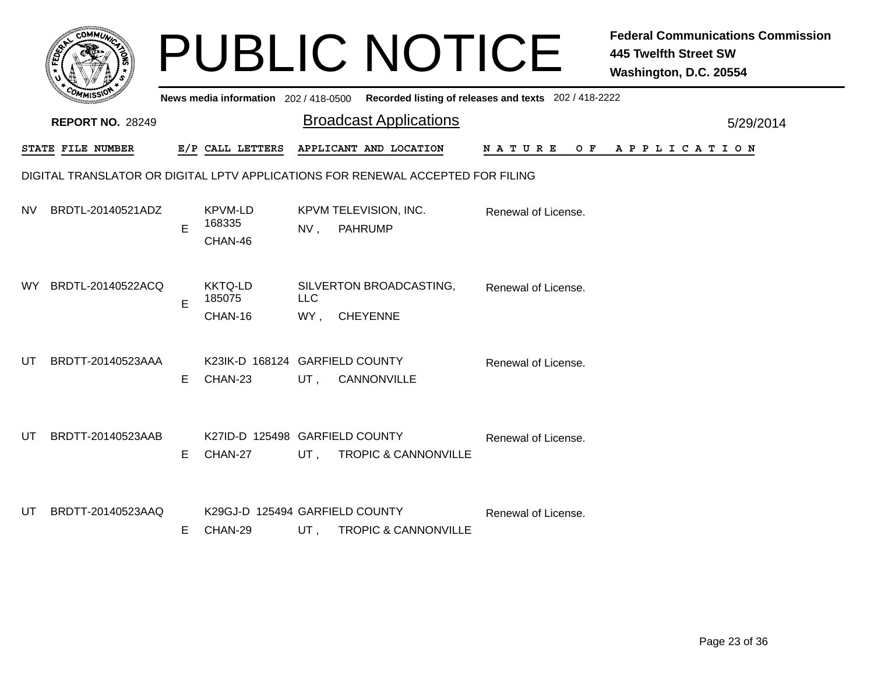|           |                                                                                 |    |                                           |                   | <b>PUBLIC NOTICE</b>                                                                    |                     | <b>Federal Communications Commission</b><br><b>445 Twelfth Street SW</b><br>Washington, D.C. 20554 |  |  |  |
|-----------|---------------------------------------------------------------------------------|----|-------------------------------------------|-------------------|-----------------------------------------------------------------------------------------|---------------------|----------------------------------------------------------------------------------------------------|--|--|--|
|           |                                                                                 |    |                                           |                   | News media information 202/418-0500 Recorded listing of releases and texts 202/418-2222 |                     |                                                                                                    |  |  |  |
|           | <b>REPORT NO. 28249</b>                                                         |    |                                           |                   | <b>Broadcast Applications</b>                                                           |                     | 5/29/2014                                                                                          |  |  |  |
|           | STATE FILE NUMBER                                                               |    | E/P CALL LETTERS                          |                   | APPLICANT AND LOCATION                                                                  | N A T U R E<br>O F  | A P P L I C A T I O N                                                                              |  |  |  |
|           | DIGITAL TRANSLATOR OR DIGITAL LPTV APPLICATIONS FOR RENEWAL ACCEPTED FOR FILING |    |                                           |                   |                                                                                         |                     |                                                                                                    |  |  |  |
| NV.       | BRDTL-20140521ADZ                                                               | E  | KPVM-LD<br>168335<br>CHAN-46              | $NV$ ,            | KPVM TELEVISION, INC.<br><b>PAHRUMP</b>                                                 | Renewal of License. |                                                                                                    |  |  |  |
| <b>WY</b> | BRDTL-20140522ACQ                                                               | E  | <b>KKTQ-LD</b><br>185075<br>CHAN-16       | <b>LLC</b><br>WY, | SILVERTON BROADCASTING,<br><b>CHEYENNE</b>                                              | Renewal of License. |                                                                                                    |  |  |  |
| UT        | BRDTT-20140523AAA                                                               | E. | K23IK-D 168124 GARFIELD COUNTY<br>CHAN-23 | UT,               | CANNONVILLE                                                                             | Renewal of License. |                                                                                                    |  |  |  |
| UT        | BRDTT-20140523AAB                                                               | E. | K27ID-D 125498 GARFIELD COUNTY<br>CHAN-27 | $UT$ ,            | <b>TROPIC &amp; CANNONVILLE</b>                                                         | Renewal of License. |                                                                                                    |  |  |  |
| UT        | BRDTT-20140523AAQ                                                               | E. | K29GJ-D 125494 GARFIELD COUNTY<br>CHAN-29 |                   | UT, TROPIC & CANNONVILLE                                                                | Renewal of License. |                                                                                                    |  |  |  |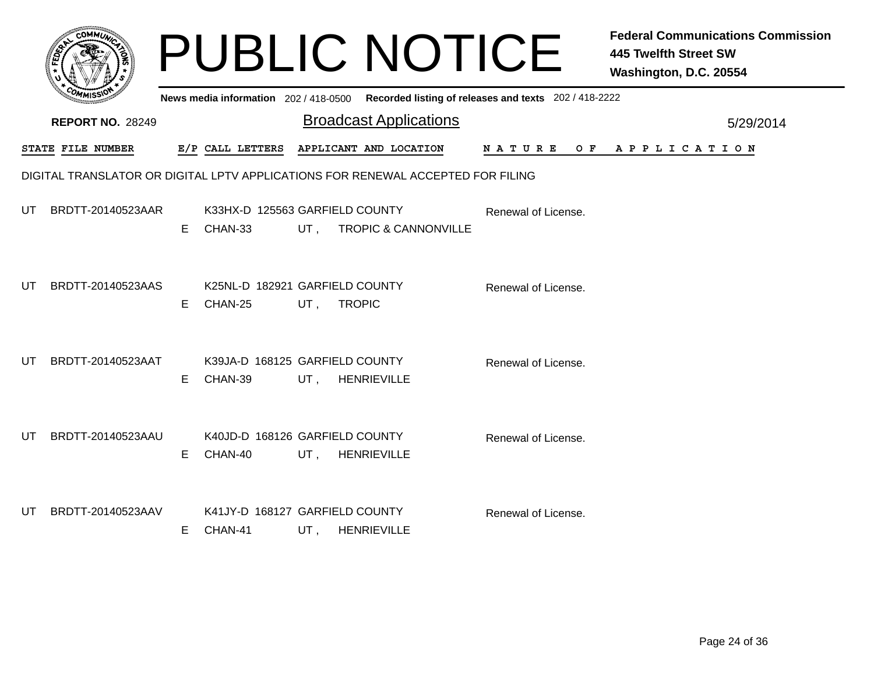|    |                                                                                 |    |                                             |                 | <b>PUBLIC NOTICE</b>                                                                        |                     | <b>Federal Communications Commission</b><br>445 Twelfth Street SW<br>Washington, D.C. 20554 |  |  |  |
|----|---------------------------------------------------------------------------------|----|---------------------------------------------|-----------------|---------------------------------------------------------------------------------------------|---------------------|---------------------------------------------------------------------------------------------|--|--|--|
|    |                                                                                 |    |                                             |                 | News media information 202 / 418-0500 Recorded listing of releases and texts 202 / 418-2222 |                     |                                                                                             |  |  |  |
|    | <b>REPORT NO. 28249</b>                                                         |    |                                             |                 | <b>Broadcast Applications</b>                                                               |                     | 5/29/2014                                                                                   |  |  |  |
|    | STATE FILE NUMBER                                                               |    | E/P CALL LETTERS APPLICANT AND LOCATION     |                 |                                                                                             | N A T U R E         | OF APPLICATION                                                                              |  |  |  |
|    | DIGITAL TRANSLATOR OR DIGITAL LPTV APPLICATIONS FOR RENEWAL ACCEPTED FOR FILING |    |                                             |                 |                                                                                             |                     |                                                                                             |  |  |  |
| UT | BRDTT-20140523AAR                                                               |    | K33HX-D 125563 GARFIELD COUNTY<br>E CHAN-33 |                 | UT, TROPIC & CANNONVILLE                                                                    | Renewal of License. |                                                                                             |  |  |  |
| UT | BRDTT-20140523AAS                                                               | E  | K25NL-D 182921 GARFIELD COUNTY<br>CHAN-25   | UT,             | <b>TROPIC</b>                                                                               | Renewal of License. |                                                                                             |  |  |  |
| UT | BRDTT-20140523AAT                                                               | E  | K39JA-D 168125 GARFIELD COUNTY<br>CHAN-39   | UT, HENRIEVILLE |                                                                                             | Renewal of License. |                                                                                             |  |  |  |
| UT | BRDTT-20140523AAU                                                               | E  | K40JD-D 168126 GARFIELD COUNTY<br>CHAN-40   | UT, HENRIEVILLE |                                                                                             | Renewal of License. |                                                                                             |  |  |  |
| UT | BRDTT-20140523AAV                                                               | E. | K41JY-D 168127 GARFIELD COUNTY<br>CHAN-41   | UT, HENRIEVILLE |                                                                                             | Renewal of License. |                                                                                             |  |  |  |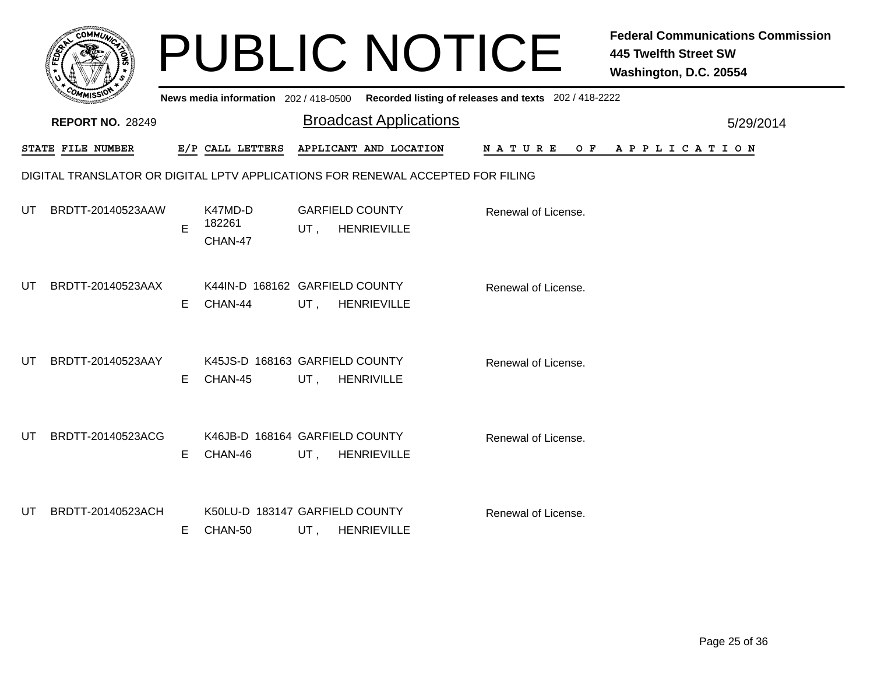|    |                                                                                 |    |                              | <b>PUBLIC NOTICE</b>                                                                    |                     | <b>Federal Communications Commission</b><br><b>445 Twelfth Street SW</b><br>Washington, D.C. 20554 |  |  |  |  |
|----|---------------------------------------------------------------------------------|----|------------------------------|-----------------------------------------------------------------------------------------|---------------------|----------------------------------------------------------------------------------------------------|--|--|--|--|
|    |                                                                                 |    |                              | News media information 202/418-0500 Recorded listing of releases and texts 202/418-2222 |                     |                                                                                                    |  |  |  |  |
|    | <b>REPORT NO. 28249</b>                                                         |    |                              | <b>Broadcast Applications</b>                                                           |                     | 5/29/2014                                                                                          |  |  |  |  |
|    | STATE FILE NUMBER                                                               |    | E/P CALL LETTERS             | APPLICANT AND LOCATION                                                                  | N A T U R E         | OF APPLICATION                                                                                     |  |  |  |  |
|    | DIGITAL TRANSLATOR OR DIGITAL LPTV APPLICATIONS FOR RENEWAL ACCEPTED FOR FILING |    |                              |                                                                                         |                     |                                                                                                    |  |  |  |  |
| UT | BRDTT-20140523AAW                                                               | E  | K47MD-D<br>182261<br>CHAN-47 | <b>GARFIELD COUNTY</b><br><b>HENRIEVILLE</b><br>$UT$ ,                                  | Renewal of License. |                                                                                                    |  |  |  |  |
| UT | BRDTT-20140523AAX                                                               | E. | CHAN-44                      | K44IN-D 168162 GARFIELD COUNTY<br>UT,<br><b>HENRIEVILLE</b>                             | Renewal of License. |                                                                                                    |  |  |  |  |
| UT | BRDTT-20140523AAY                                                               | E. | CHAN-45                      | K45JS-D 168163 GARFIELD COUNTY<br>UT, HENRIVILLE                                        | Renewal of License. |                                                                                                    |  |  |  |  |
| UT | BRDTT-20140523ACG                                                               | E. | CHAN-46                      | K46JB-D 168164 GARFIELD COUNTY<br>UT,<br><b>HENRIEVILLE</b>                             | Renewal of License. |                                                                                                    |  |  |  |  |
| UT | BRDTT-20140523ACH                                                               | E. | CHAN-50                      | K50LU-D 183147 GARFIELD COUNTY<br>UT,<br><b>HENRIEVILLE</b>                             | Renewal of License. |                                                                                                    |  |  |  |  |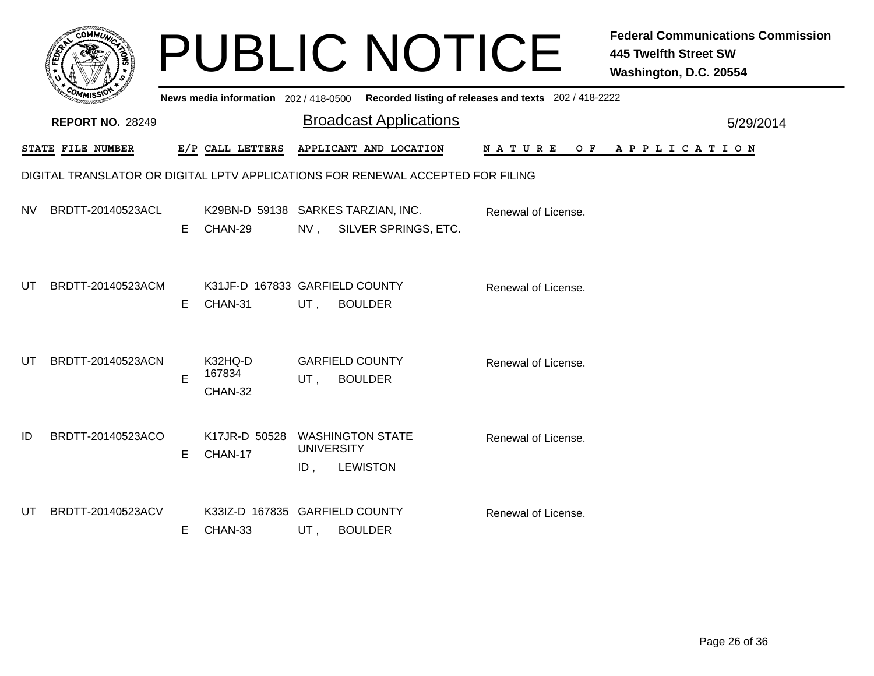|     |                                                                                 |    |                                               |                          | <b>PUBLIC NOTICE</b>                                                                        |                     | <b>Federal Communications Commission</b><br><b>445 Twelfth Street SW</b><br>Washington, D.C. 20554 |  |  |  |  |
|-----|---------------------------------------------------------------------------------|----|-----------------------------------------------|--------------------------|---------------------------------------------------------------------------------------------|---------------------|----------------------------------------------------------------------------------------------------|--|--|--|--|
|     |                                                                                 |    |                                               |                          | News media information 202 / 418-0500 Recorded listing of releases and texts 202 / 418-2222 |                     |                                                                                                    |  |  |  |  |
|     | <b>REPORT NO. 28249</b>                                                         |    |                                               |                          | <b>Broadcast Applications</b>                                                               |                     | 5/29/2014                                                                                          |  |  |  |  |
|     | STATE FILE NUMBER                                                               |    | E/P CALL LETTERS                              |                          | APPLICANT AND LOCATION                                                                      | N A T U R E         | OF APPLICATION                                                                                     |  |  |  |  |
|     | DIGITAL TRANSLATOR OR DIGITAL LPTV APPLICATIONS FOR RENEWAL ACCEPTED FOR FILING |    |                                               |                          |                                                                                             |                     |                                                                                                    |  |  |  |  |
| NV  | BRDTT-20140523ACL                                                               | E. | K29BN-D 59138 SARKES TARZIAN, INC.<br>CHAN-29 | NV,                      | SILVER SPRINGS, ETC.                                                                        | Renewal of License. |                                                                                                    |  |  |  |  |
| UT. | BRDTT-20140523ACM                                                               | E. | K31JF-D 167833 GARFIELD COUNTY<br>CHAN-31     | UT,                      | <b>BOULDER</b>                                                                              | Renewal of License. |                                                                                                    |  |  |  |  |
| UT  | BRDTT-20140523ACN                                                               | F. | K32HQ-D<br>167834<br>CHAN-32                  | UT,                      | <b>GARFIELD COUNTY</b><br><b>BOULDER</b>                                                    | Renewal of License. |                                                                                                    |  |  |  |  |
| ID  | BRDTT-20140523ACO                                                               | E  | K17JR-D 50528<br>CHAN-17                      | <b>UNIVERSITY</b><br>ID, | <b>WASHINGTON STATE</b><br><b>LEWISTON</b>                                                  | Renewal of License. |                                                                                                    |  |  |  |  |
| UT  | BRDTT-20140523ACV                                                               | E. | K33IZ-D 167835 GARFIELD COUNTY<br>CHAN-33     | UT,                      | <b>BOULDER</b>                                                                              | Renewal of License. |                                                                                                    |  |  |  |  |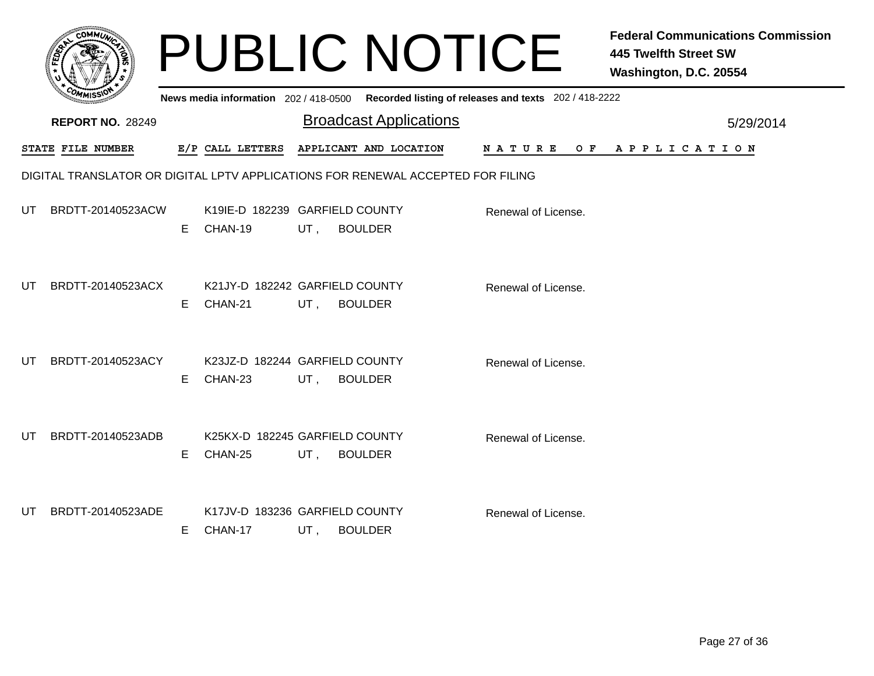|     |                                                                                 |    |                                           |        | <b>PUBLIC NOTICE</b>                                                                    |                     | <b>Federal Communications Commission</b><br><b>445 Twelfth Street SW</b><br>Washington, D.C. 20554 |  |  |  |
|-----|---------------------------------------------------------------------------------|----|-------------------------------------------|--------|-----------------------------------------------------------------------------------------|---------------------|----------------------------------------------------------------------------------------------------|--|--|--|
|     |                                                                                 |    |                                           |        | News media information 202/418-0500 Recorded listing of releases and texts 202/418-2222 |                     |                                                                                                    |  |  |  |
|     | <b>REPORT NO. 28249</b>                                                         |    |                                           |        | <b>Broadcast Applications</b>                                                           |                     | 5/29/2014                                                                                          |  |  |  |
|     | STATE FILE NUMBER                                                               |    | E/P CALL LETTERS                          |        | APPLICANT AND LOCATION                                                                  | N A T U R E         | OF APPLICATION                                                                                     |  |  |  |
|     | DIGITAL TRANSLATOR OR DIGITAL LPTV APPLICATIONS FOR RENEWAL ACCEPTED FOR FILING |    |                                           |        |                                                                                         |                     |                                                                                                    |  |  |  |
| UT  | BRDTT-20140523ACW                                                               | E. | K19IE-D 182239 GARFIELD COUNTY<br>CHAN-19 | UT,    | <b>BOULDER</b>                                                                          | Renewal of License. |                                                                                                    |  |  |  |
| UT  | BRDTT-20140523ACX                                                               | E. | K21JY-D 182242 GARFIELD COUNTY<br>CHAN-21 | UT,    | <b>BOULDER</b>                                                                          | Renewal of License. |                                                                                                    |  |  |  |
| UT. | BRDTT-20140523ACY                                                               | E. | K23JZ-D 182244 GARFIELD COUNTY<br>CHAN-23 | UT,    | <b>BOULDER</b>                                                                          | Renewal of License. |                                                                                                    |  |  |  |
| UT  | BRDTT-20140523ADB                                                               | E. | K25KX-D 182245 GARFIELD COUNTY<br>CHAN-25 | UT,    | <b>BOULDER</b>                                                                          | Renewal of License. |                                                                                                    |  |  |  |
| UT. | BRDTT-20140523ADE                                                               | E. | K17JV-D 183236 GARFIELD COUNTY<br>CHAN-17 | $UT$ , | <b>BOULDER</b>                                                                          | Renewal of License. |                                                                                                    |  |  |  |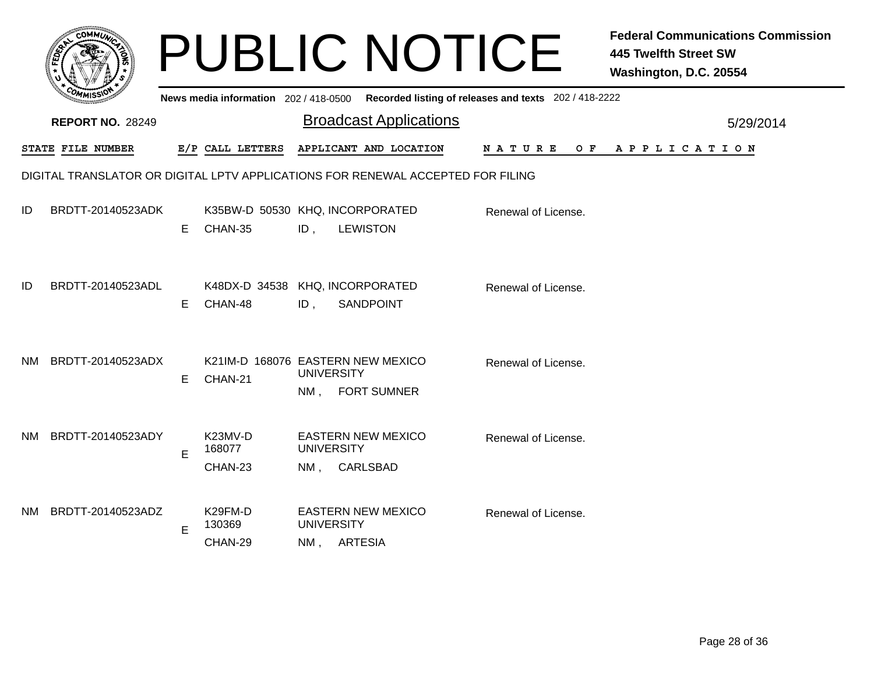|     |                                                                                 |    |                                              |                                      | <b>PUBLIC NOTICE</b>                         |                                                                                         | <b>Federal Communications Commission</b><br><b>445 Twelfth Street SW</b><br>Washington, D.C. 20554 |
|-----|---------------------------------------------------------------------------------|----|----------------------------------------------|--------------------------------------|----------------------------------------------|-----------------------------------------------------------------------------------------|----------------------------------------------------------------------------------------------------|
|     |                                                                                 |    |                                              |                                      |                                              | News media information 202/418-0500 Recorded listing of releases and texts 202/418-2222 |                                                                                                    |
|     | <b>REPORT NO. 28249</b>                                                         |    |                                              |                                      | <b>Broadcast Applications</b>                |                                                                                         | 5/29/2014                                                                                          |
|     | STATE FILE NUMBER                                                               |    | E/P CALL LETTERS                             |                                      | APPLICANT AND LOCATION                       | N A T U R E<br>O F                                                                      | A P P L I C A T I O N                                                                              |
|     | DIGITAL TRANSLATOR OR DIGITAL LPTV APPLICATIONS FOR RENEWAL ACCEPTED FOR FILING |    |                                              |                                      |                                              |                                                                                         |                                                                                                    |
| ID  | BRDTT-20140523ADK                                                               | E. | K35BW-D 50530 KHQ, INCORPORATED<br>CHAN-35   | ID,                                  | <b>LEWISTON</b>                              | Renewal of License.                                                                     |                                                                                                    |
| ID  | BRDTT-20140523ADL                                                               | E. | K48DX-D 34538 KHQ, INCORPORATED<br>CHAN-48   | ID,                                  | <b>SANDPOINT</b>                             | Renewal of License.                                                                     |                                                                                                    |
| NM. | BRDTT-20140523ADX                                                               | E  | K21IM-D 168076 EASTERN NEW MEXICO<br>CHAN-21 | <b>UNIVERSITY</b><br>NM, FORT SUMNER |                                              | Renewal of License.                                                                     |                                                                                                    |
| NM. | BRDTT-20140523ADY                                                               | E  | K23MV-D<br>168077<br>CHAN-23                 | <b>UNIVERSITY</b><br>NM.             | <b>EASTERN NEW MEXICO</b><br><b>CARLSBAD</b> | Renewal of License.                                                                     |                                                                                                    |
| NM. | BRDTT-20140523ADZ                                                               | E  | K29FM-D<br>130369<br>CHAN-29                 | <b>UNIVERSITY</b><br>NM, ARTESIA     | <b>EASTERN NEW MEXICO</b>                    | Renewal of License.                                                                     |                                                                                                    |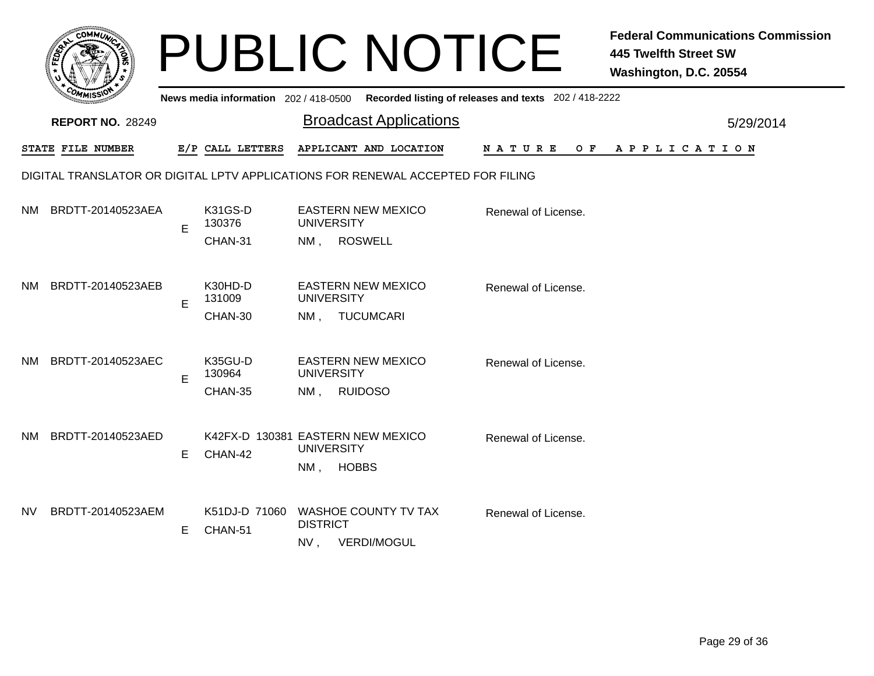|     |                                                                                 |    |                                       | <b>PUBLIC NOTICE</b>                                   |                                                       | <b>Federal Communications Commission</b><br><b>445 Twelfth Street SW</b><br>Washington, D.C. 20554 |  |  |  |  |
|-----|---------------------------------------------------------------------------------|----|---------------------------------------|--------------------------------------------------------|-------------------------------------------------------|----------------------------------------------------------------------------------------------------|--|--|--|--|
|     |                                                                                 |    | News media information 202 / 418-0500 |                                                        | Recorded listing of releases and texts 202 / 418-2222 |                                                                                                    |  |  |  |  |
|     | <b>REPORT NO. 28249</b>                                                         |    |                                       | <b>Broadcast Applications</b>                          |                                                       | 5/29/2014                                                                                          |  |  |  |  |
|     | STATE FILE NUMBER                                                               |    | E/P CALL LETTERS                      | APPLICANT AND LOCATION                                 | <b>NATURE</b><br>O F                                  | A P P L I C A T I O N                                                                              |  |  |  |  |
|     | DIGITAL TRANSLATOR OR DIGITAL LPTV APPLICATIONS FOR RENEWAL ACCEPTED FOR FILING |    |                                       |                                                        |                                                       |                                                                                                    |  |  |  |  |
| NM. | BRDTT-20140523AEA                                                               | E  | K31GS-D<br>130376                     | <b>EASTERN NEW MEXICO</b><br><b>UNIVERSITY</b>         | Renewal of License.                                   |                                                                                                    |  |  |  |  |
|     |                                                                                 |    | CHAN-31                               | <b>ROSWELL</b><br>NM,                                  |                                                       |                                                                                                    |  |  |  |  |
| NM. | BRDTT-20140523AEB                                                               | E  | K30HD-D<br>131009                     | <b>EASTERN NEW MEXICO</b><br><b>UNIVERSITY</b>         | Renewal of License.                                   |                                                                                                    |  |  |  |  |
|     |                                                                                 |    | CHAN-30                               | <b>TUCUMCARI</b><br>NM.                                |                                                       |                                                                                                    |  |  |  |  |
| NM. | BRDTT-20140523AEC                                                               | E  | K35GU-D<br>130964                     | <b>EASTERN NEW MEXICO</b><br><b>UNIVERSITY</b>         | Renewal of License.                                   |                                                                                                    |  |  |  |  |
|     |                                                                                 |    | CHAN-35                               | <b>RUIDOSO</b><br>$NM$ ,                               |                                                       |                                                                                                    |  |  |  |  |
| NM. | BRDTT-20140523AED                                                               |    |                                       | K42FX-D 130381 EASTERN NEW MEXICO<br><b>UNIVERSITY</b> | Renewal of License.                                   |                                                                                                    |  |  |  |  |
|     |                                                                                 | E. | CHAN-42                               | <b>HOBBS</b><br>$NM$ ,                                 |                                                       |                                                                                                    |  |  |  |  |
| NV. | BRDTT-20140523AEM                                                               |    | K51DJ-D 71060                         | <b>WASHOE COUNTY TV TAX</b>                            | Renewal of License.                                   |                                                                                                    |  |  |  |  |
|     |                                                                                 | E. | CHAN-51                               | <b>DISTRICT</b><br><b>VERDI/MOGUL</b><br>NV,           |                                                       |                                                                                                    |  |  |  |  |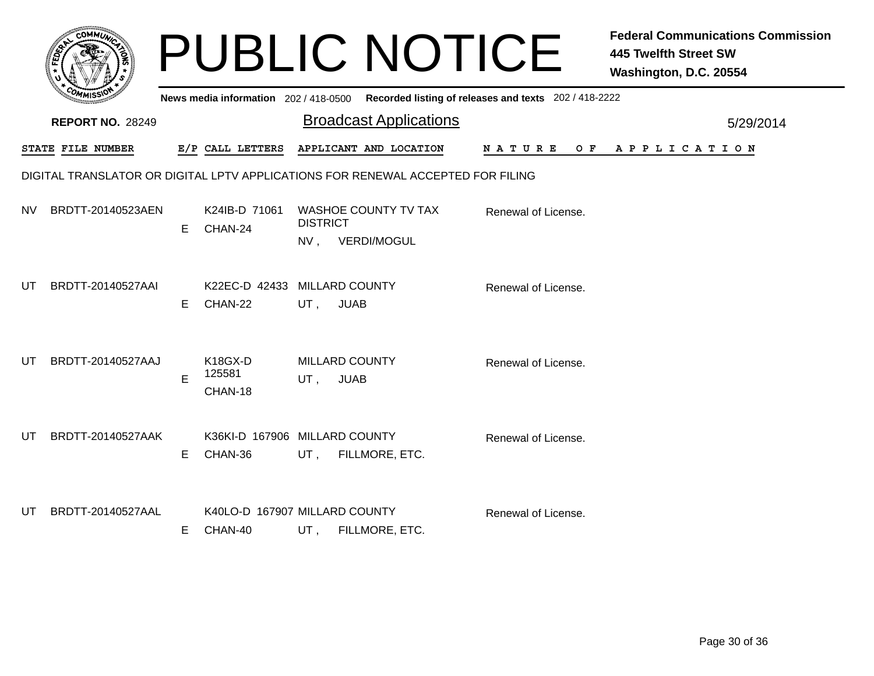|           |                                                                                 |    |                                          |                       | <b>PUBLIC NOTICE</b>          |                                                       | <b>Federal Communications Commission</b><br><b>445 Twelfth Street SW</b><br>Washington, D.C. 20554 |  |  |  |
|-----------|---------------------------------------------------------------------------------|----|------------------------------------------|-----------------------|-------------------------------|-------------------------------------------------------|----------------------------------------------------------------------------------------------------|--|--|--|
|           |                                                                                 |    | News media information 202 / 418-0500    |                       |                               | Recorded listing of releases and texts 202 / 418-2222 |                                                                                                    |  |  |  |
|           | <b>REPORT NO. 28249</b>                                                         |    |                                          |                       | <b>Broadcast Applications</b> |                                                       | 5/29/2014                                                                                          |  |  |  |
|           | STATE FILE NUMBER                                                               |    | E/P CALL LETTERS                         |                       | APPLICANT AND LOCATION        | N A T U R E                                           | OF APPLICATION                                                                                     |  |  |  |
|           | DIGITAL TRANSLATOR OR DIGITAL LPTV APPLICATIONS FOR RENEWAL ACCEPTED FOR FILING |    |                                          |                       |                               |                                                       |                                                                                                    |  |  |  |
| <b>NV</b> | BRDTT-20140523AEN                                                               | E. | K24IB-D 71061<br>CHAN-24                 | <b>DISTRICT</b>       | <b>WASHOE COUNTY TV TAX</b>   | Renewal of License.                                   |                                                                                                    |  |  |  |
|           |                                                                                 |    |                                          | NV, VERDI/MOGUL       |                               |                                                       |                                                                                                    |  |  |  |
| UT        | BRDTT-20140527AAI                                                               |    | K22EC-D 42433 MILLARD COUNTY             |                       |                               | Renewal of License.                                   |                                                                                                    |  |  |  |
|           |                                                                                 | E  | CHAN-22                                  | UT,<br><b>JUAB</b>    |                               |                                                       |                                                                                                    |  |  |  |
| UΤ        | BRDTT-20140527AAJ                                                               |    | K18GX-D                                  | <b>MILLARD COUNTY</b> |                               | Renewal of License.                                   |                                                                                                    |  |  |  |
|           |                                                                                 | E  | 125581<br>CHAN-18                        | <b>JUAB</b><br>UT,    |                               |                                                       |                                                                                                    |  |  |  |
| UT        | BRDTT-20140527AAK                                                               |    | K36KI-D 167906 MILLARD COUNTY            |                       |                               | Renewal of License.                                   |                                                                                                    |  |  |  |
|           |                                                                                 | E. | CHAN-36                                  | UT,                   | FILLMORE, ETC.                |                                                       |                                                                                                    |  |  |  |
|           |                                                                                 |    |                                          |                       |                               |                                                       |                                                                                                    |  |  |  |
| UT        | BRDTT-20140527AAL                                                               | E. | K40LO-D 167907 MILLARD COUNTY<br>CHAN-40 |                       | UT, FILLMORE, ETC.            | Renewal of License.                                   |                                                                                                    |  |  |  |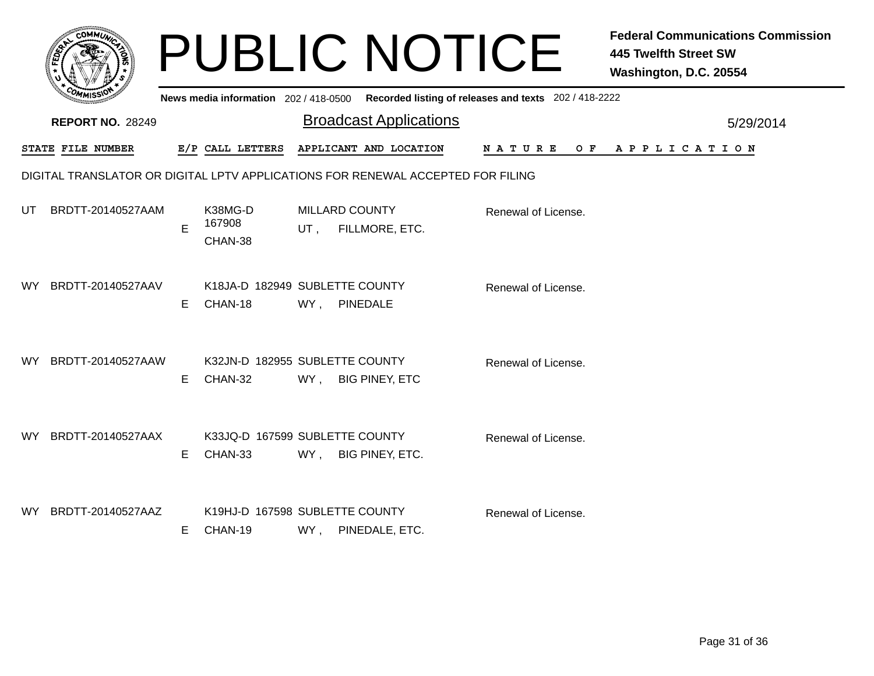|     |                                                                                 |    |                                           |                                                | <b>PUBLIC NOTICE</b>          |                                                       | <b>Federal Communications Commission</b><br><b>445 Twelfth Street SW</b><br>Washington, D.C. 20554 |
|-----|---------------------------------------------------------------------------------|----|-------------------------------------------|------------------------------------------------|-------------------------------|-------------------------------------------------------|----------------------------------------------------------------------------------------------------|
|     |                                                                                 |    | News media information 202 / 418-0500     |                                                |                               | Recorded listing of releases and texts 202 / 418-2222 |                                                                                                    |
|     | <b>REPORT NO. 28249</b>                                                         |    |                                           |                                                | <b>Broadcast Applications</b> |                                                       | 5/29/2014                                                                                          |
|     | STATE FILE NUMBER                                                               |    | E/P CALL LETTERS                          | APPLICANT AND LOCATION                         |                               | <b>NATURE</b>                                         | OF APPLICATION                                                                                     |
|     | DIGITAL TRANSLATOR OR DIGITAL LPTV APPLICATIONS FOR RENEWAL ACCEPTED FOR FILING |    |                                           |                                                |                               |                                                       |                                                                                                    |
| UT. | BRDTT-20140527AAM                                                               | E  | K38MG-D<br>167908<br>CHAN-38              | <b>MILLARD COUNTY</b><br>FILLMORE, ETC.<br>UT, |                               | Renewal of License.                                   |                                                                                                    |
| WY. | BRDTT-20140527AAV                                                               | E. | K18JA-D 182949 SUBLETTE COUNTY<br>CHAN-18 | WY,<br><b>PINEDALE</b>                         |                               | Renewal of License.                                   |                                                                                                    |
| WY. | BRDTT-20140527AAW                                                               | E. | K32JN-D 182955 SUBLETTE COUNTY<br>CHAN-32 | WY,<br><b>BIG PINEY, ETC</b>                   |                               | Renewal of License.                                   |                                                                                                    |
| WY. | BRDTT-20140527AAX                                                               | E. | K33JQ-D 167599 SUBLETTE COUNTY<br>CHAN-33 | WY,<br>BIG PINEY, ETC.                         |                               | Renewal of License.                                   |                                                                                                    |
| WY. | BRDTT-20140527AAZ                                                               | Е  | K19HJ-D 167598 SUBLETTE COUNTY<br>CHAN-19 | WY, PINEDALE, ETC.                             |                               | Renewal of License.                                   |                                                                                                    |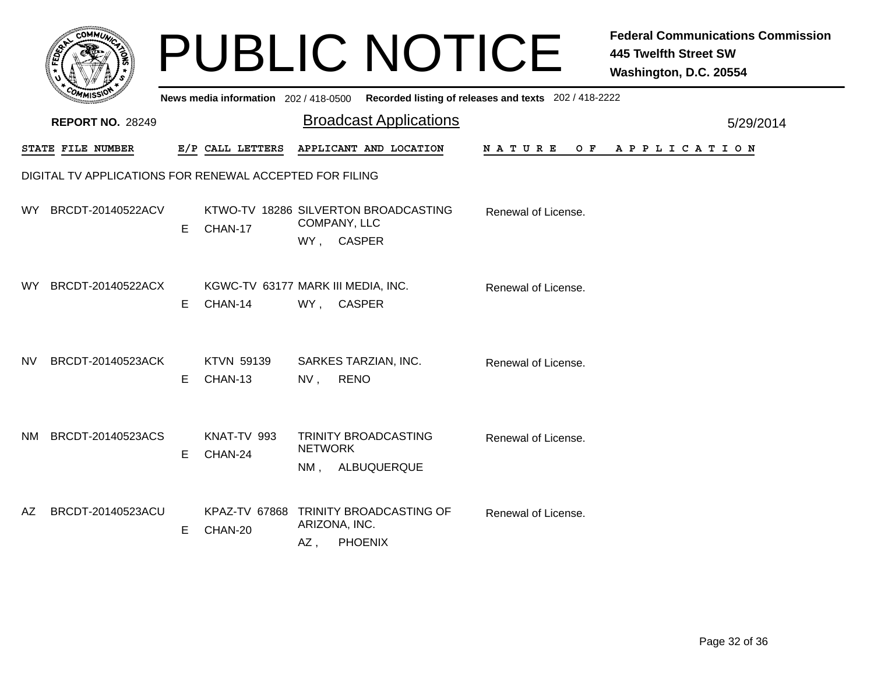|      |                                                         |    |                                               |                                            | <b>PUBLIC NOTICE</b>                                    |                                                                                             | <b>Federal Communications Commission</b><br><b>445 Twelfth Street SW</b><br>Washington, D.C. 20554 |
|------|---------------------------------------------------------|----|-----------------------------------------------|--------------------------------------------|---------------------------------------------------------|---------------------------------------------------------------------------------------------|----------------------------------------------------------------------------------------------------|
|      |                                                         |    |                                               |                                            |                                                         | News media information 202 / 418-0500 Recorded listing of releases and texts 202 / 418-2222 |                                                                                                    |
|      | <b>REPORT NO. 28249</b>                                 |    |                                               |                                            | <b>Broadcast Applications</b>                           | 5/29/2014                                                                                   |                                                                                                    |
|      | STATE FILE NUMBER                                       |    | E/P CALL LETTERS                              |                                            | APPLICANT AND LOCATION                                  | NATURE<br>O F                                                                               | APPLICATION                                                                                        |
|      | DIGITAL TV APPLICATIONS FOR RENEWAL ACCEPTED FOR FILING |    |                                               |                                            |                                                         |                                                                                             |                                                                                                    |
| WY l | BRCDT-20140522ACV                                       | E. | CHAN-17                                       | COMPANY, LLC<br>WY, CASPER                 | KTWO-TV 18286 SILVERTON BROADCASTING                    | Renewal of License.                                                                         |                                                                                                    |
| WY l | BRCDT-20140522ACX                                       | E. | KGWC-TV 63177 MARK III MEDIA, INC.<br>CHAN-14 | WY, CASPER                                 |                                                         | Renewal of License.                                                                         |                                                                                                    |
| NV   | BRCDT-20140523ACK                                       | E. | KTVN 59139<br>CHAN-13                         | SARKES TARZIAN, INC.<br><b>RENO</b><br>NV, |                                                         | Renewal of License.                                                                         |                                                                                                    |
| NM.  | BRCDT-20140523ACS                                       | E. | KNAT-TV 993<br>CHAN-24                        | <b>NETWORK</b>                             | TRINITY BROADCASTING<br>NM, ALBUQUERQUE                 | Renewal of License.                                                                         |                                                                                                    |
| AZ   | BRCDT-20140523ACU                                       | E. | CHAN-20                                       | ARIZONA, INC.<br>AZ,                       | KPAZ-TV 67868 TRINITY BROADCASTING OF<br><b>PHOENIX</b> | Renewal of License.                                                                         |                                                                                                    |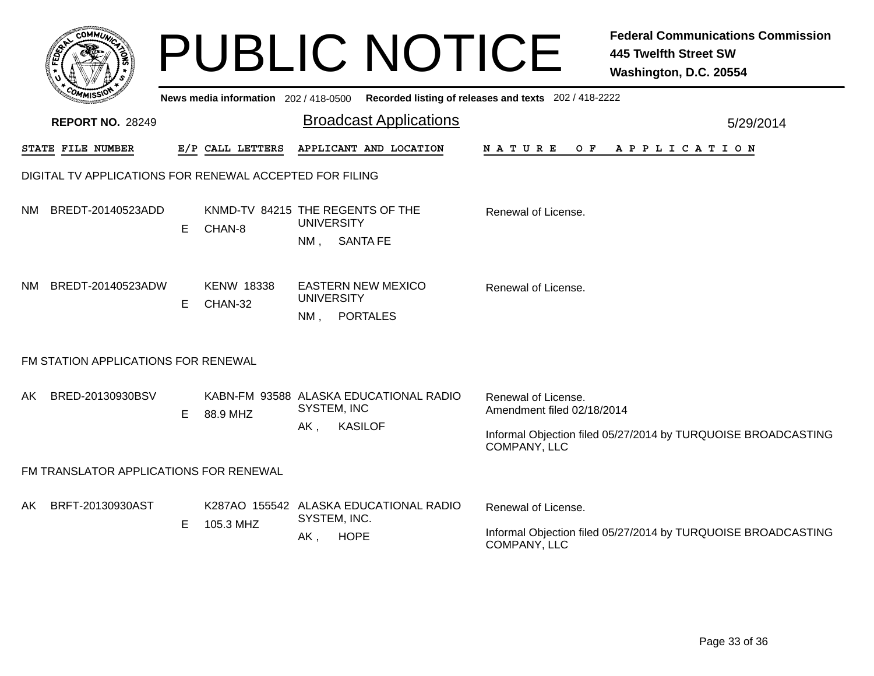|     |                                                         |    |                              |                                                       | <b>PUBLIC NOTICE</b>                                                                    |                                                   | <b>Federal Communications Commission</b><br><b>445 Twelfth Street SW</b><br>Washington, D.C. 20554 |  |  |
|-----|---------------------------------------------------------|----|------------------------------|-------------------------------------------------------|-----------------------------------------------------------------------------------------|---------------------------------------------------|----------------------------------------------------------------------------------------------------|--|--|
|     |                                                         |    |                              |                                                       | News media information 202/418-0500 Recorded listing of releases and texts 202/418-2222 |                                                   |                                                                                                    |  |  |
|     | <b>REPORT NO. 28249</b>                                 |    |                              |                                                       | <b>Broadcast Applications</b>                                                           |                                                   | 5/29/2014                                                                                          |  |  |
|     | STATE FILE NUMBER                                       |    | E/P CALL LETTERS             |                                                       | APPLICANT AND LOCATION                                                                  | N A T U R E<br>O F                                | A P P L I C A T I O N                                                                              |  |  |
|     | DIGITAL TV APPLICATIONS FOR RENEWAL ACCEPTED FOR FILING |    |                              |                                                       |                                                                                         |                                                   |                                                                                                    |  |  |
| NM. | BREDT-20140523ADD                                       | E  | CHAN-8                       | KNMD-TV 84215 THE REGENTS OF THE<br><b>UNIVERSITY</b> |                                                                                         | Renewal of License.                               |                                                                                                    |  |  |
|     |                                                         |    |                              |                                                       | NM, SANTA FE                                                                            |                                                   |                                                                                                    |  |  |
| NM. | BREDT-20140523ADW                                       | Е  | <b>KENW 18338</b><br>CHAN-32 | <b>UNIVERSITY</b>                                     | <b>EASTERN NEW MEXICO</b>                                                               | Renewal of License.                               |                                                                                                    |  |  |
|     |                                                         |    |                              | $NM$ .                                                | <b>PORTALES</b>                                                                         |                                                   |                                                                                                    |  |  |
|     | FM STATION APPLICATIONS FOR RENEWAL                     |    |                              |                                                       |                                                                                         |                                                   |                                                                                                    |  |  |
| AKI | BRED-20130930BSV                                        |    |                              | SYSTEM, INC                                           | KABN-FM 93588 ALASKA EDUCATIONAL RADIO                                                  | Renewal of License.<br>Amendment filed 02/18/2014 |                                                                                                    |  |  |
|     |                                                         | E. | 88.9 MHZ                     | AK,                                                   | <b>KASILOF</b>                                                                          |                                                   | Informal Objection filed 05/27/2014 by TURQUOISE BROADCASTING                                      |  |  |
|     |                                                         |    |                              |                                                       |                                                                                         | COMPANY, LLC                                      |                                                                                                    |  |  |
|     | FM TRANSLATOR APPLICATIONS FOR RENEWAL                  |    |                              |                                                       |                                                                                         |                                                   |                                                                                                    |  |  |
| AKI | BRFT-20130930AST                                        |    |                              | SYSTEM, INC.                                          | K287AO 155542 ALASKA EDUCATIONAL RADIO                                                  | Renewal of License.                               |                                                                                                    |  |  |
|     |                                                         | Е  | 105.3 MHZ                    | AK,                                                   | <b>HOPE</b>                                                                             | COMPANY, LLC                                      | Informal Objection filed 05/27/2014 by TURQUOISE BROADCASTING                                      |  |  |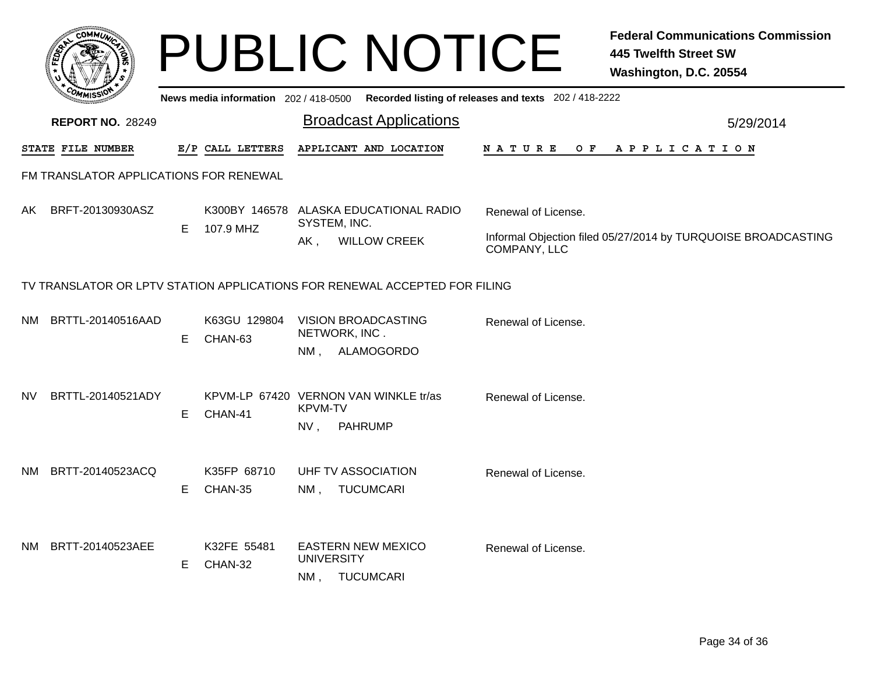|     | <b>COMMIT</b>                                                              |    |                                       | <b>PUBLIC NOTICE</b>                                                             |                                                       | <b>Federal Communications Commission</b><br><b>445 Twelfth Street SW</b><br>Washington, D.C. 20554 |  |  |
|-----|----------------------------------------------------------------------------|----|---------------------------------------|----------------------------------------------------------------------------------|-------------------------------------------------------|----------------------------------------------------------------------------------------------------|--|--|
|     |                                                                            |    | News media information $202/418-0500$ |                                                                                  | Recorded listing of releases and texts 202 / 418-2222 |                                                                                                    |  |  |
|     | <b>REPORT NO. 28249</b>                                                    |    |                                       | <b>Broadcast Applications</b>                                                    |                                                       | 5/29/2014                                                                                          |  |  |
|     | STATE FILE NUMBER                                                          |    | E/P CALL LETTERS                      | APPLICANT AND LOCATION                                                           | N A T U R E<br>O F                                    | A P P L I C A T I O N                                                                              |  |  |
|     | FM TRANSLATOR APPLICATIONS FOR RENEWAL                                     |    |                                       |                                                                                  |                                                       |                                                                                                    |  |  |
| AK. | BRFT-20130930ASZ                                                           | E. | 107.9 MHZ                             | K300BY 146578 ALASKA EDUCATIONAL RADIO<br>SYSTEM, INC.                           | Renewal of License.                                   |                                                                                                    |  |  |
|     |                                                                            |    |                                       | <b>WILLOW CREEK</b><br>$AK$ ,                                                    | COMPANY, LLC                                          | Informal Objection filed 05/27/2014 by TURQUOISE BROADCASTING                                      |  |  |
|     | TV TRANSLATOR OR LPTV STATION APPLICATIONS FOR RENEWAL ACCEPTED FOR FILING |    |                                       |                                                                                  |                                                       |                                                                                                    |  |  |
| NM. | BRTTL-20140516AAD                                                          | E  | K63GU 129804<br>CHAN-63               | <b>VISION BROADCASTING</b><br>NETWORK, INC.<br>NM, ALAMOGORDO                    | Renewal of License.                                   |                                                                                                    |  |  |
| NV. | BRTTL-20140521ADY                                                          | E. | CHAN-41                               | KPVM-LP 67420 VERNON VAN WINKLE tr/as<br><b>KPVM-TV</b><br>NV,<br><b>PAHRUMP</b> | Renewal of License.                                   |                                                                                                    |  |  |
| NM. | BRTT-20140523ACQ                                                           | E. | K35FP 68710<br>CHAN-35                | UHF TV ASSOCIATION<br><b>TUCUMCARI</b><br>NM.                                    | Renewal of License.                                   |                                                                                                    |  |  |
| NM. | BRTT-20140523AEE                                                           | E. | K32FE 55481<br>CHAN-32                | <b>EASTERN NEW MEXICO</b><br><b>UNIVERSITY</b><br>NM,<br><b>TUCUMCARI</b>        | Renewal of License.                                   |                                                                                                    |  |  |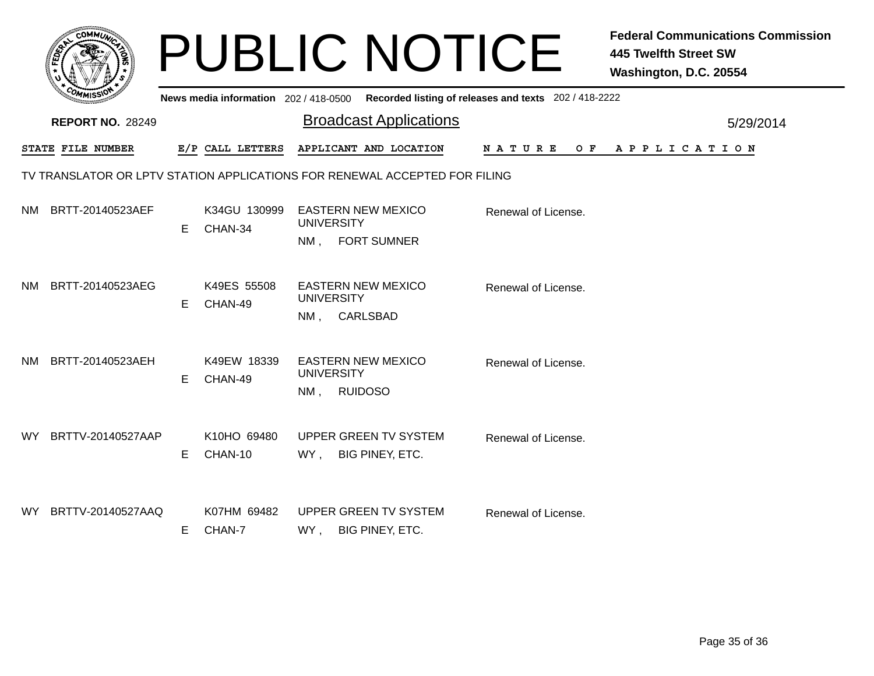|     | <b>COMMUT</b>           |    |                                       | <b>Federal Communications Commission</b><br><b>PUBLIC NOTICE</b><br><b>445 Twelfth Street SW</b><br>Washington, D.C. 20554 |           |
|-----|-------------------------|----|---------------------------------------|----------------------------------------------------------------------------------------------------------------------------|-----------|
|     |                         |    | News media information 202 / 418-0500 | Recorded listing of releases and texts 202 / 418-2222                                                                      |           |
|     | <b>REPORT NO. 28249</b> |    |                                       | <b>Broadcast Applications</b>                                                                                              | 5/29/2014 |
|     | STATE FILE NUMBER       |    | E/P CALL LETTERS                      | APPLICANT AND LOCATION<br>N A T U R E<br>O F<br>A P P L I C A T I O N                                                      |           |
|     |                         |    |                                       | TV TRANSLATOR OR LPTV STATION APPLICATIONS FOR RENEWAL ACCEPTED FOR FILING                                                 |           |
| NM. | BRTT-20140523AEF        | E. | K34GU 130999<br>CHAN-34               | EASTERN NEW MEXICO<br>Renewal of License.<br><b>UNIVERSITY</b><br><b>FORT SUMNER</b><br>$NM$ ,                             |           |
| NM. | BRTT-20140523AEG        | Е  | K49ES 55508<br>CHAN-49                | <b>EASTERN NEW MEXICO</b><br>Renewal of License.<br><b>UNIVERSITY</b><br>CARLSBAD<br>NM.                                   |           |
| NM. | BRTT-20140523AEH        | E. | K49EW 18339<br>CHAN-49                | <b>EASTERN NEW MEXICO</b><br>Renewal of License.<br><b>UNIVERSITY</b><br><b>RUIDOSO</b><br>NM,                             |           |
| WY. | BRTTV-20140527AAP       | E. | K10HO 69480<br>CHAN-10                | <b>UPPER GREEN TV SYSTEM</b><br>Renewal of License.<br>BIG PINEY, ETC.<br>WY,                                              |           |
| WY. | BRTTV-20140527AAQ       | E. | K07HM 69482<br>CHAN-7                 | <b>UPPER GREEN TV SYSTEM</b><br>Renewal of License.<br>BIG PINEY, ETC.<br>WY,                                              |           |